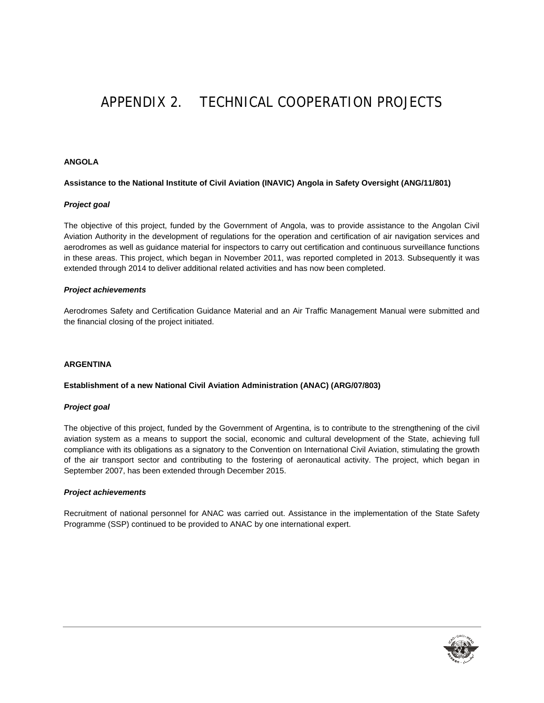# APPENDIX 2. TECHNICAL COOPERATION PROJECTS

# **ANGOLA**

#### **Assistance to the National Institute of Civil Aviation (INAVIC) Angola in Safety Oversight (ANG/11/801)**

#### *Project goal*

The objective of this project, funded by the Government of Angola, was to provide assistance to the Angolan Civil Aviation Authority in the development of regulations for the operation and certification of air navigation services and aerodromes as well as guidance material for inspectors to carry out certification and continuous surveillance functions in these areas. This project, which began in November 2011, was reported completed in 2013. Subsequently it was extended through 2014 to deliver additional related activities and has now been completed.

#### *Project achievements*

Aerodromes Safety and Certification Guidance Material and an Air Traffic Management Manual were submitted and the financial closing of the project initiated.

# **ARGENTINA**

### **Establishment of a new National Civil Aviation Administration (ANAC) (ARG/07/803)**

#### *Project goal*

The objective of this project, funded by the Government of Argentina, is to contribute to the strengthening of the civil aviation system as a means to support the social, economic and cultural development of the State, achieving full compliance with its obligations as a signatory to the Convention on International Civil Aviation, stimulating the growth of the air transport sector and contributing to the fostering of aeronautical activity. The project, which began in September 2007, has been extended through December 2015.

#### *Project achievements*

Recruitment of national personnel for ANAC was carried out. Assistance in the implementation of the State Safety Programme (SSP) continued to be provided to ANAC by one international expert.

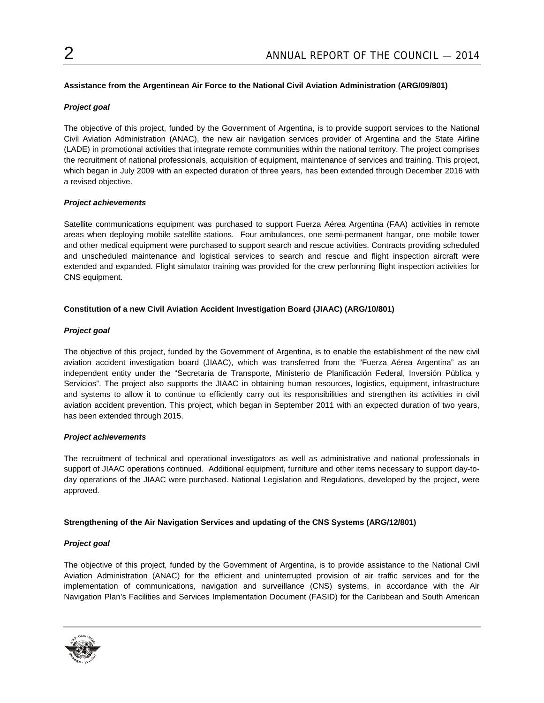# **Assistance from the Argentinean Air Force to the National Civil Aviation Administration (ARG/09/801)**

# *Project goal*

The objective of this project, funded by the Government of Argentina, is to provide support services to the National Civil Aviation Administration (ANAC), the new air navigation services provider of Argentina and the State Airline (LADE) in promotional activities that integrate remote communities within the national territory. The project comprises the recruitment of national professionals, acquisition of equipment, maintenance of services and training. This project, which began in July 2009 with an expected duration of three years, has been extended through December 2016 with a revised objective.

#### *Project achievements*

Satellite communications equipment was purchased to support Fuerza Aérea Argentina (FAA) activities in remote areas when deploying mobile satellite stations. Four ambulances, one semi-permanent hangar, one mobile tower and other medical equipment were purchased to support search and rescue activities. Contracts providing scheduled and unscheduled maintenance and logistical services to search and rescue and flight inspection aircraft were extended and expanded. Flight simulator training was provided for the crew performing flight inspection activities for CNS equipment.

# **Constitution of a new Civil Aviation Accident Investigation Board (JIAAC) (ARG/10/801)**

# *Project goal*

The objective of this project, funded by the Government of Argentina, is to enable the establishment of the new civil aviation accident investigation board (JIAAC), which was transferred from the "Fuerza Aérea Argentina" as an independent entity under the "Secretaría de Transporte, Ministerio de Planificación Federal, Inversión Pública y Servicios". The project also supports the JIAAC in obtaining human resources, logistics, equipment, infrastructure and systems to allow it to continue to efficiently carry out its responsibilities and strengthen its activities in civil aviation accident prevention. This project, which began in September 2011 with an expected duration of two years, has been extended through 2015.

#### *Project achievements*

The recruitment of technical and operational investigators as well as administrative and national professionals in support of JIAAC operations continued. Additional equipment, furniture and other items necessary to support day-today operations of the JIAAC were purchased. National Legislation and Regulations, developed by the project, were approved.

#### **Strengthening of the Air Navigation Services and updating of the CNS Systems (ARG/12/801)**

# *Project goal*

The objective of this project, funded by the Government of Argentina, is to provide assistance to the National Civil Aviation Administration (ANAC) for the efficient and uninterrupted provision of air traffic services and for the implementation of communications, navigation and surveillance (CNS) systems, in accordance with the Air Navigation Plan's Facilities and Services Implementation Document (FASID) for the Caribbean and South American

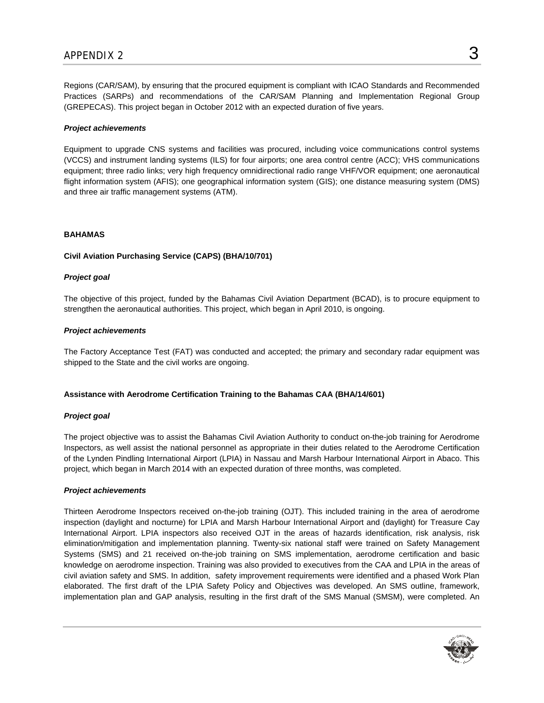Regions (CAR/SAM), by ensuring that the procured equipment is compliant with ICAO Standards and Recommended Practices (SARPs) and recommendations of the CAR/SAM Planning and Implementation Regional Group (GREPECAS). This project began in October 2012 with an expected duration of five years.

#### *Project achievements*

Equipment to upgrade CNS systems and facilities was procured, including voice communications control systems (VCCS) and instrument landing systems (ILS) for four airports; one area control centre (ACC); VHS communications equipment; three radio links; very high frequency omnidirectional radio range VHF/VOR equipment; one aeronautical flight information system (AFIS); one geographical information system (GIS); one distance measuring system (DMS) and three air traffic management systems (ATM).

#### **BAHAMAS**

#### **Civil Aviation Purchasing Service (CAPS) (BHA/10/701)**

#### *Project goal*

The objective of this project, funded by the Bahamas Civil Aviation Department (BCAD), is to procure equipment to strengthen the aeronautical authorities. This project, which began in April 2010, is ongoing.

#### *Project achievements*

The Factory Acceptance Test (FAT) was conducted and accepted; the primary and secondary radar equipment was shipped to the State and the civil works are ongoing.

#### **Assistance with Aerodrome Certification Training to the Bahamas CAA (BHA/14/601)**

#### *Project goal*

The project objective was to assist the Bahamas Civil Aviation Authority to conduct on-the-job training for Aerodrome Inspectors, as well assist the national personnel as appropriate in their duties related to the Aerodrome Certification of the Lynden Pindling International Airport (LPIA) in Nassau and Marsh Harbour International Airport in Abaco. This project, which began in March 2014 with an expected duration of three months, was completed.

#### *Project achievements*

Thirteen Aerodrome Inspectors received on-the-job training (OJT). This included training in the area of aerodrome inspection (daylight and nocturne) for LPIA and Marsh Harbour International Airport and (daylight) for Treasure Cay International Airport. LPIA inspectors also received OJT in the areas of hazards identification, risk analysis, risk elimination/mitigation and implementation planning. Twenty-six national staff were trained on Safety Management Systems (SMS) and 21 received on-the-job training on SMS implementation, aerodrome certification and basic knowledge on aerodrome inspection. Training was also provided to executives from the CAA and LPIA in the areas of civil aviation safety and SMS. In addition, safety improvement requirements were identified and a phased Work Plan elaborated. The first draft of the LPIA Safety Policy and Objectives was developed. An SMS outline, framework, implementation plan and GAP analysis, resulting in the first draft of the SMS Manual (SMSM), were completed. An

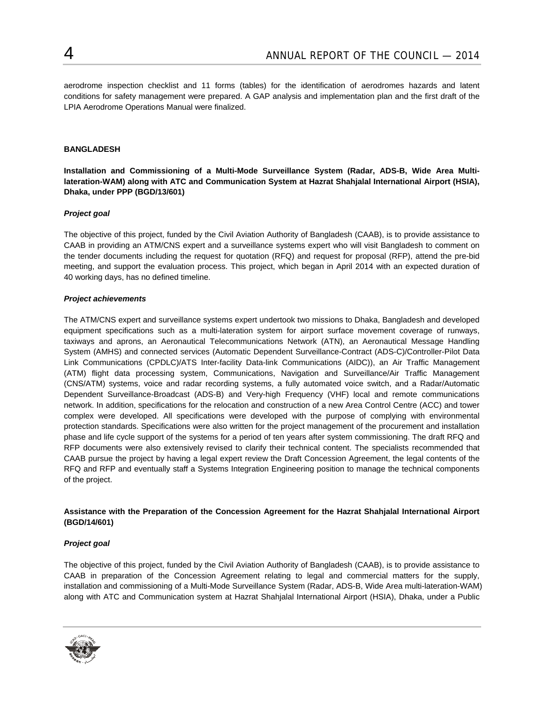aerodrome inspection checklist and 11 forms (tables) for the identification of aerodromes hazards and latent conditions for safety management were prepared. A GAP analysis and implementation plan and the first draft of the LPIA Aerodrome Operations Manual were finalized.

### **BANGLADESH**

**Installation and Commissioning of a Multi-Mode Surveillance System (Radar, ADS-B, Wide Area Multilateration-WAM) along with ATC and Communication System at Hazrat Shahjalal International Airport (HSIA), Dhaka, under PPP (BGD/13/601)** 

# *Project goal*

The objective of this project, funded by the Civil Aviation Authority of Bangladesh (CAAB), is to provide assistance to CAAB in providing an ATM/CNS expert and a surveillance systems expert who will visit Bangladesh to comment on the tender documents including the request for quotation (RFQ) and request for proposal (RFP), attend the pre-bid meeting, and support the evaluation process. This project, which began in April 2014 with an expected duration of 40 working days, has no defined timeline.

#### *Project achievements*

The ATM/CNS expert and surveillance systems expert undertook two missions to Dhaka, Bangladesh and developed equipment specifications such as a multi-lateration system for airport surface movement coverage of runways, taxiways and aprons, an Aeronautical Telecommunications Network (ATN), an Aeronautical Message Handling System (AMHS) and connected services (Automatic Dependent Surveillance-Contract (ADS-C)/Controller-Pilot Data Link Communications (CPDLC)/ATS Inter-facility Data-link Communications (AIDC)), an Air Traffic Management (ATM) flight data processing system, Communications, Navigation and Surveillance/Air Traffic Management (CNS/ATM) systems, voice and radar recording systems, a fully automated voice switch, and a Radar/Automatic Dependent Surveillance-Broadcast (ADS-B) and Very-high Frequency (VHF) local and remote communications network. In addition, specifications for the relocation and construction of a new Area Control Centre (ACC) and tower complex were developed. All specifications were developed with the purpose of complying with environmental protection standards. Specifications were also written for the project management of the procurement and installation phase and life cycle support of the systems for a period of ten years after system commissioning. The draft RFQ and RFP documents were also extensively revised to clarify their technical content. The specialists recommended that CAAB pursue the project by having a legal expert review the Draft Concession Agreement, the legal contents of the RFQ and RFP and eventually staff a Systems Integration Engineering position to manage the technical components of the project.

# **Assistance with the Preparation of the Concession Agreement for the Hazrat Shahjalal International Airport (BGD/14/601)**

#### *Project goal*

The objective of this project, funded by the Civil Aviation Authority of Bangladesh (CAAB), is to provide assistance to CAAB in preparation of the Concession Agreement relating to legal and commercial matters for the supply, installation and commissioning of a Multi-Mode Surveillance System (Radar, ADS-B, Wide Area multi-lateration-WAM) along with ATC and Communication system at Hazrat Shahjalal International Airport (HSIA), Dhaka, under a Public

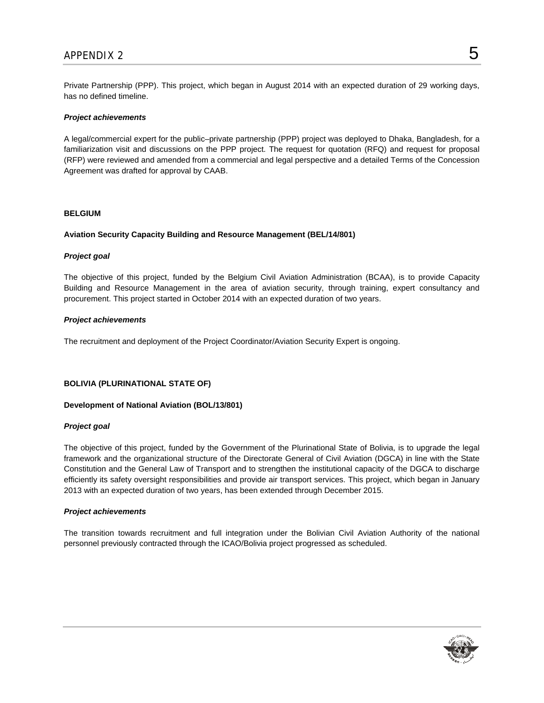Private Partnership (PPP). This project, which began in August 2014 with an expected duration of 29 working days, has no defined timeline.

### *Project achievements*

A legal/commercial expert for the public–private partnership (PPP) project was deployed to Dhaka, Bangladesh, for a familiarization visit and discussions on the PPP project. The request for quotation (RFQ) and request for proposal (RFP) were reviewed and amended from a commercial and legal perspective and a detailed Terms of the Concession Agreement was drafted for approval by CAAB.

#### **BELGIUM**

# **Aviation Security Capacity Building and Resource Management (BEL/14/801)**

# *Project goal*

The objective of this project, funded by the Belgium Civil Aviation Administration (BCAA), is to provide Capacity Building and Resource Management in the area of aviation security, through training, expert consultancy and procurement. This project started in October 2014 with an expected duration of two years.

# *Project achievements*

The recruitment and deployment of the Project Coordinator/Aviation Security Expert is ongoing.

#### **BOLIVIA (PLURINATIONAL STATE OF)**

#### **Development of National Aviation (BOL/13/801)**

#### *Project goal*

The objective of this project, funded by the Government of the Plurinational State of Bolivia, is to upgrade the legal framework and the organizational structure of the Directorate General of Civil Aviation (DGCA) in line with the State Constitution and the General Law of Transport and to strengthen the institutional capacity of the DGCA to discharge efficiently its safety oversight responsibilities and provide air transport services. This project, which began in January 2013 with an expected duration of two years, has been extended through December 2015.

#### *Project achievements*

The transition towards recruitment and full integration under the Bolivian Civil Aviation Authority of the national personnel previously contracted through the ICAO/Bolivia project progressed as scheduled.

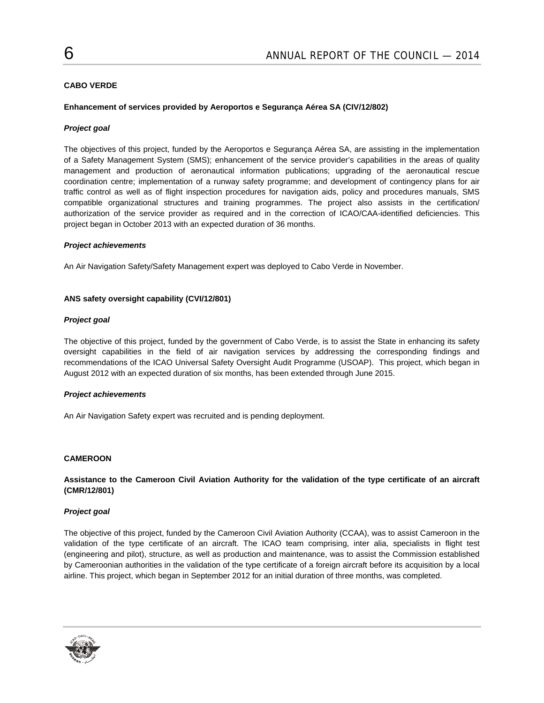# **CABO VERDE**

### **Enhancement of services provided by Aeroportos e Segurança Aérea SA (CIV/12/802)**

#### *Project goal*

The objectives of this project, funded by the Aeroportos e Segurança Aérea SA, are assisting in the implementation of a Safety Management System (SMS); enhancement of the service provider's capabilities in the areas of quality management and production of aeronautical information publications; upgrading of the aeronautical rescue coordination centre; implementation of a runway safety programme; and development of contingency plans for air traffic control as well as of flight inspection procedures for navigation aids, policy and procedures manuals, SMS compatible organizational structures and training programmes. The project also assists in the certification/ authorization of the service provider as required and in the correction of ICAO/CAA-identified deficiencies. This project began in October 2013 with an expected duration of 36 months.

#### *Project achievements*

An Air Navigation Safety/Safety Management expert was deployed to Cabo Verde in November.

#### **ANS safety oversight capability (CVI/12/801)**

#### *Project goal*

The objective of this project, funded by the government of Cabo Verde, is to assist the State in enhancing its safety oversight capabilities in the field of air navigation services by addressing the corresponding findings and recommendations of the ICAO Universal Safety Oversight Audit Programme (USOAP). This project, which began in August 2012 with an expected duration of six months, has been extended through June 2015.

#### *Project achievements*

An Air Navigation Safety expert was recruited and is pending deployment.

#### **CAMEROON**

### **Assistance to the Cameroon Civil Aviation Authority for the validation of the type certificate of an aircraft (CMR/12/801)**

#### *Project goal*

The objective of this project, funded by the Cameroon Civil Aviation Authority (CCAA), was to assist Cameroon in the validation of the type certificate of an aircraft. The ICAO team comprising, inter alia, specialists in flight test (engineering and pilot), structure, as well as production and maintenance, was to assist the Commission established by Cameroonian authorities in the validation of the type certificate of a foreign aircraft before its acquisition by a local airline. This project, which began in September 2012 for an initial duration of three months, was completed.

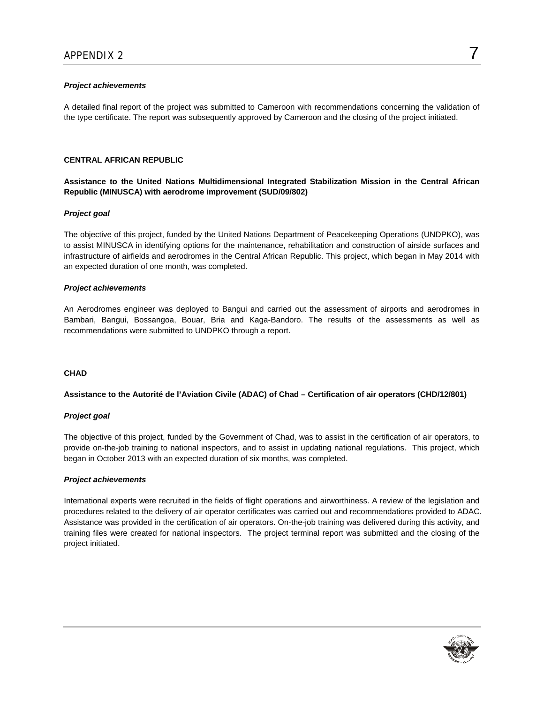# *Project achievements*

A detailed final report of the project was submitted to Cameroon with recommendations concerning the validation of the type certificate. The report was subsequently approved by Cameroon and the closing of the project initiated.

# **CENTRAL AFRICAN REPUBLIC**

**Assistance to the United Nations Multidimensional Integrated Stabilization Mission in the Central African Republic (MINUSCA) with aerodrome improvement (SUD/09/802)** 

#### *Project goal*

The objective of this project, funded by the United Nations Department of Peacekeeping Operations (UNDPKO), was to assist MINUSCA in identifying options for the maintenance, rehabilitation and construction of airside surfaces and infrastructure of airfields and aerodromes in the Central African Republic. This project, which began in May 2014 with an expected duration of one month, was completed.

#### *Project achievements*

An Aerodromes engineer was deployed to Bangui and carried out the assessment of airports and aerodromes in Bambari, Bangui, Bossangoa, Bouar, Bria and Kaga-Bandoro. The results of the assessments as well as recommendations were submitted to UNDPKO through a report.

# **CHAD**

### **Assistance to the Autorité de l'Aviation Civile (ADAC) of Chad – Certification of air operators (CHD/12/801)**

#### *Project goal*

The objective of this project, funded by the Government of Chad, was to assist in the certification of air operators, to provide on-the-job training to national inspectors, and to assist in updating national regulations. This project, which began in October 2013 with an expected duration of six months, was completed.

#### *Project achievements*

International experts were recruited in the fields of flight operations and airworthiness. A review of the legislation and procedures related to the delivery of air operator certificates was carried out and recommendations provided to ADAC. Assistance was provided in the certification of air operators. On-the-job training was delivered during this activity, and training files were created for national inspectors. The project terminal report was submitted and the closing of the project initiated.

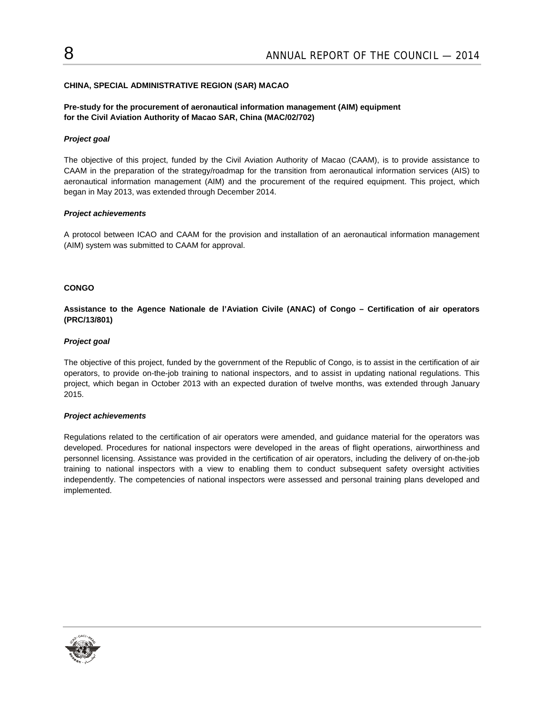# **CHINA, SPECIAL ADMINISTRATIVE REGION (SAR) MACAO**

# **Pre-study for the procurement of aeronautical information management (AIM) equipment for the Civil Aviation Authority of Macao SAR, China (MAC/02/702)**

# *Project goal*

The objective of this project, funded by the Civil Aviation Authority of Macao (CAAM), is to provide assistance to CAAM in the preparation of the strategy/roadmap for the transition from aeronautical information services (AIS) to aeronautical information management (AIM) and the procurement of the required equipment. This project, which began in May 2013, was extended through December 2014.

#### *Project achievements*

A protocol between ICAO and CAAM for the provision and installation of an aeronautical information management (AIM) system was submitted to CAAM for approval.

# **CONGO**

# **Assistance to the Agence Nationale de l'Aviation Civile (ANAC) of Congo – Certification of air operators (PRC/13/801)**

# *Project goal*

The objective of this project, funded by the government of the Republic of Congo, is to assist in the certification of air operators, to provide on-the-job training to national inspectors, and to assist in updating national regulations. This project, which began in October 2013 with an expected duration of twelve months, was extended through January 2015.

#### *Project achievements*

Regulations related to the certification of air operators were amended, and guidance material for the operators was developed. Procedures for national inspectors were developed in the areas of flight operations, airworthiness and personnel licensing. Assistance was provided in the certification of air operators, including the delivery of on-the-job training to national inspectors with a view to enabling them to conduct subsequent safety oversight activities independently. The competencies of national inspectors were assessed and personal training plans developed and implemented.

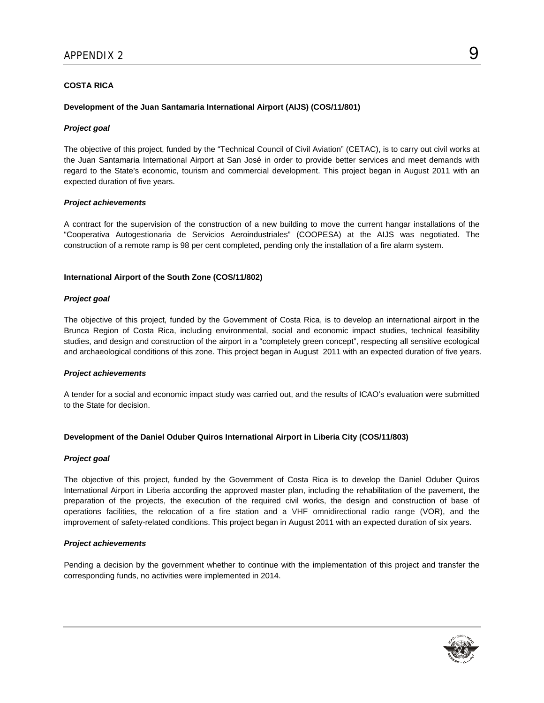# **COSTA RICA**

#### **Development of the Juan Santamaria International Airport (AIJS) (COS/11/801)**

#### *Project goal*

The objective of this project, funded by the "Technical Council of Civil Aviation" (CETAC), is to carry out civil works at the Juan Santamaria International Airport at San José in order to provide better services and meet demands with regard to the State's economic, tourism and commercial development. This project began in August 2011 with an expected duration of five years.

#### *Project achievements*

A contract for the supervision of the construction of a new building to move the current hangar installations of the "Cooperativa Autogestionaria de Servicios Aeroindustriales" (COOPESA) at the AIJS was negotiated. The construction of a remote ramp is 98 per cent completed, pending only the installation of a fire alarm system.

# **International Airport of the South Zone (COS/11/802)**

#### *Project goal*

The objective of this project, funded by the Government of Costa Rica, is to develop an international airport in the Brunca Region of Costa Rica, including environmental, social and economic impact studies, technical feasibility studies, and design and construction of the airport in a "completely green concept", respecting all sensitive ecological and archaeological conditions of this zone. This project began in August 2011 with an expected duration of five years.

#### *Project achievements*

A tender for a social and economic impact study was carried out, and the results of ICAO's evaluation were submitted to the State for decision.

# **Development of the Daniel Oduber Quiros International Airport in Liberia City (COS/11/803)**

#### *Project goal*

The objective of this project, funded by the Government of Costa Rica is to develop the Daniel Oduber Quiros International Airport in Liberia according the approved master plan, including the rehabilitation of the pavement, the preparation of the projects, the execution of the required civil works, the design and construction of base of operations facilities, the relocation of a fire station and a VHF omnidirectional radio range (VOR), and the improvement of safety-related conditions. This project began in August 2011 with an expected duration of six years.

#### *Project achievements*

Pending a decision by the government whether to continue with the implementation of this project and transfer the corresponding funds, no activities were implemented in 2014.

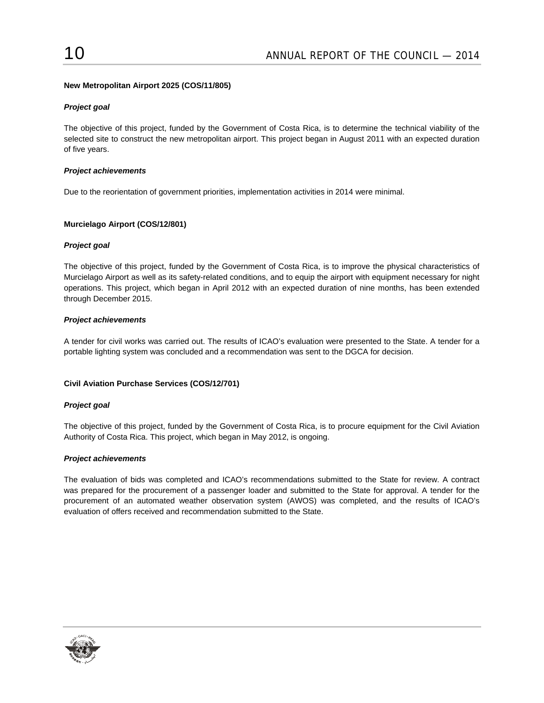# **New Metropolitan Airport 2025 (COS/11/805)**

# *Project goal*

The objective of this project, funded by the Government of Costa Rica, is to determine the technical viability of the selected site to construct the new metropolitan airport. This project began in August 2011 with an expected duration of five years.

### *Project achievements*

Due to the reorientation of government priorities, implementation activities in 2014 were minimal.

# **Murcielago Airport (COS/12/801)**

# *Project goal*

The objective of this project, funded by the Government of Costa Rica, is to improve the physical characteristics of Murcielago Airport as well as its safety-related conditions, and to equip the airport with equipment necessary for night operations. This project, which began in April 2012 with an expected duration of nine months, has been extended through December 2015.

# *Project achievements*

A tender for civil works was carried out. The results of ICAO's evaluation were presented to the State. A tender for a portable lighting system was concluded and a recommendation was sent to the DGCA for decision.

#### **Civil Aviation Purchase Services (COS/12/701)**

#### *Project goal*

The objective of this project, funded by the Government of Costa Rica, is to procure equipment for the Civil Aviation Authority of Costa Rica. This project, which began in May 2012, is ongoing.

#### *Project achievements*

The evaluation of bids was completed and ICAO's recommendations submitted to the State for review. A contract was prepared for the procurement of a passenger loader and submitted to the State for approval. A tender for the procurement of an automated weather observation system (AWOS) was completed, and the results of ICAO's evaluation of offers received and recommendation submitted to the State.

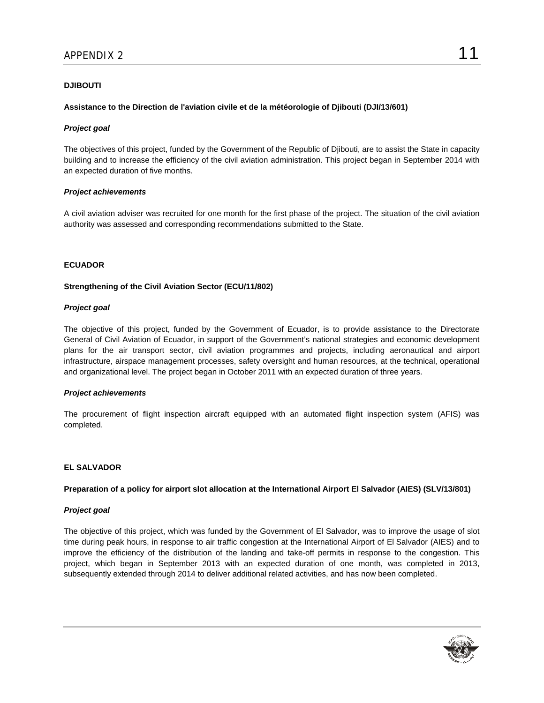# **DJIBOUTI**

### **Assistance to the Direction de l'aviation civile et de la météorologie of Djibouti (DJI/13/601)**

#### *Project goal*

The objectives of this project, funded by the Government of the Republic of Djibouti, are to assist the State in capacity building and to increase the efficiency of the civil aviation administration. This project began in September 2014 with an expected duration of five months.

#### *Project achievements*

A civil aviation adviser was recruited for one month for the first phase of the project. The situation of the civil aviation authority was assessed and corresponding recommendations submitted to the State.

#### **ECUADOR**

#### **Strengthening of the Civil Aviation Sector (ECU/11/802)**

#### *Project goal*

The objective of this project, funded by the Government of Ecuador, is to provide assistance to the Directorate General of Civil Aviation of Ecuador, in support of the Government's national strategies and economic development plans for the air transport sector, civil aviation programmes and projects, including aeronautical and airport infrastructure, airspace management processes, safety oversight and human resources, at the technical, operational and organizational level. The project began in October 2011 with an expected duration of three years.

#### *Project achievements*

The procurement of flight inspection aircraft equipped with an automated flight inspection system (AFIS) was completed.

# **EL SALVADOR**

**Preparation of a policy for airport slot allocation at the International Airport El Salvador (AIES) (SLV/13/801)** 

#### *Project goal*

The objective of this project, which was funded by the Government of El Salvador, was to improve the usage of slot time during peak hours, in response to air traffic congestion at the International Airport of El Salvador (AIES) and to improve the efficiency of the distribution of the landing and take-off permits in response to the congestion. This project, which began in September 2013 with an expected duration of one month, was completed in 2013, subsequently extended through 2014 to deliver additional related activities, and has now been completed.

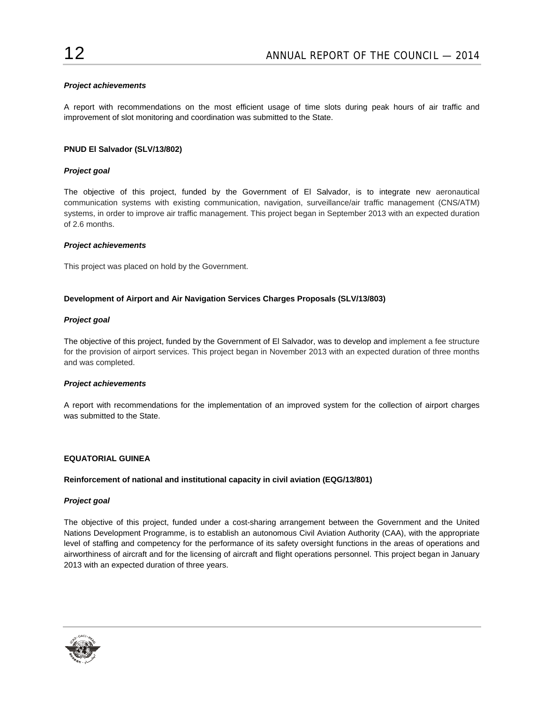# *Project achievements*

A report with recommendations on the most efficient usage of time slots during peak hours of air traffic and improvement of slot monitoring and coordination was submitted to the State.

# **PNUD El Salvador (SLV/13/802)**

# *Project goal*

The objective of this project, funded by the Government of El Salvador, is to integrate new aeronautical communication systems with existing communication, navigation, surveillance/air traffic management (CNS/ATM) systems, in order to improve air traffic management. This project began in September 2013 with an expected duration of 2.6 months.

#### *Project achievements*

This project was placed on hold by the Government.

# **Development of Airport and Air Navigation Services Charges Proposals (SLV/13/803)**

# *Project goal*

The objective of this project, funded by the Government of El Salvador, was to develop and implement a fee structure for the provision of airport services. This project began in November 2013 with an expected duration of three months and was completed.

#### *Project achievements*

A report with recommendations for the implementation of an improved system for the collection of airport charges was submitted to the State.

#### **EQUATORIAL GUINEA**

#### **Reinforcement of national and institutional capacity in civil aviation (EQG/13/801)**

#### *Project goal*

The objective of this project, funded under a cost-sharing arrangement between the Government and the United Nations Development Programme, is to establish an autonomous Civil Aviation Authority (CAA), with the appropriate level of staffing and competency for the performance of its safety oversight functions in the areas of operations and airworthiness of aircraft and for the licensing of aircraft and flight operations personnel. This project began in January 2013 with an expected duration of three years.

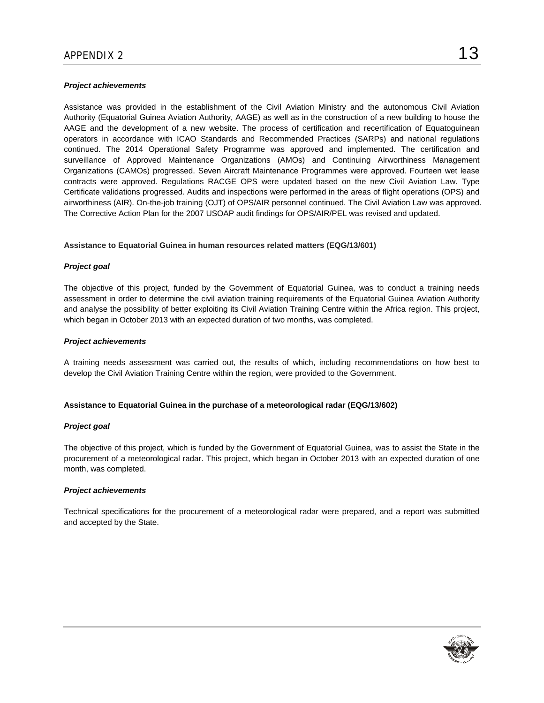### *Project achievements*

Assistance was provided in the establishment of the Civil Aviation Ministry and the autonomous Civil Aviation Authority (Equatorial Guinea Aviation Authority, AAGE) as well as in the construction of a new building to house the AAGE and the development of a new website. The process of certification and recertification of Equatoguinean operators in accordance with ICAO Standards and Recommended Practices (SARPs) and national regulations continued. The 2014 Operational Safety Programme was approved and implemented. The certification and surveillance of Approved Maintenance Organizations (AMOs) and Continuing Airworthiness Management Organizations (CAMOs) progressed. Seven Aircraft Maintenance Programmes were approved. Fourteen wet lease contracts were approved. Regulations RACGE OPS were updated based on the new Civil Aviation Law. Type Certificate validations progressed. Audits and inspections were performed in the areas of flight operations (OPS) and airworthiness (AIR). On-the-job training (OJT) of OPS/AIR personnel continued. The Civil Aviation Law was approved. The Corrective Action Plan for the 2007 USOAP audit findings for OPS/AIR/PEL was revised and updated.

# **Assistance to Equatorial Guinea in human resources related matters (EQG/13/601)**

# *Project goal*

The objective of this project, funded by the Government of Equatorial Guinea, was to conduct a training needs assessment in order to determine the civil aviation training requirements of the Equatorial Guinea Aviation Authority and analyse the possibility of better exploiting its Civil Aviation Training Centre within the Africa region. This project, which began in October 2013 with an expected duration of two months, was completed.

# *Project achievements*

A training needs assessment was carried out, the results of which, including recommendations on how best to develop the Civil Aviation Training Centre within the region, were provided to the Government.

# **Assistance to Equatorial Guinea in the purchase of a meteorological radar (EQG/13/602)**

#### *Project goal*

The objective of this project, which is funded by the Government of Equatorial Guinea, was to assist the State in the procurement of a meteorological radar. This project, which began in October 2013 with an expected duration of one month, was completed.

#### *Project achievements*

Technical specifications for the procurement of a meteorological radar were prepared, and a report was submitted and accepted by the State.

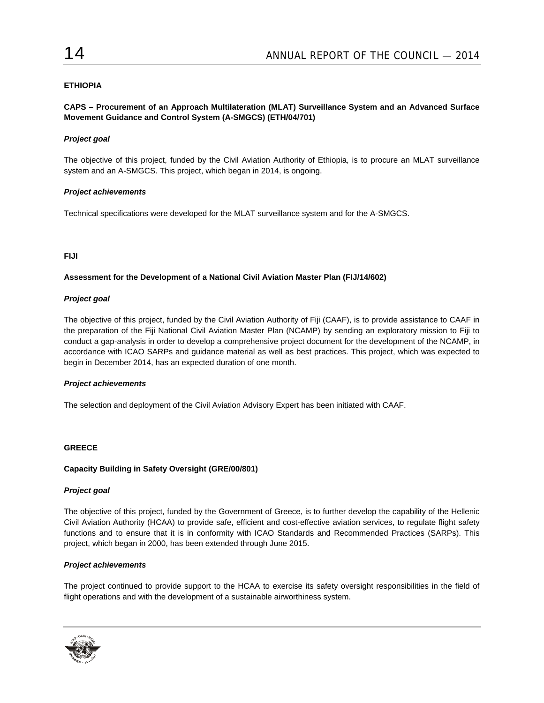# **ETHIOPIA**

# **CAPS – Procurement of an Approach Multilateration (MLAT) Surveillance System and an Advanced Surface Movement Guidance and Control System (A-SMGCS) (ETH/04/701)**

# *Project goal*

The objective of this project, funded by the Civil Aviation Authority of Ethiopia, is to procure an MLAT surveillance system and an A-SMGCS. This project, which began in 2014, is ongoing.

#### *Project achievements*

Technical specifications were developed for the MLAT surveillance system and for the A-SMGCS.

# **FIJI**

# **Assessment for the Development of a National Civil Aviation Master Plan (FIJ/14/602)**

#### *Project goal*

The objective of this project, funded by the Civil Aviation Authority of Fiji (CAAF), is to provide assistance to CAAF in the preparation of the Fiji National Civil Aviation Master Plan (NCAMP) by sending an exploratory mission to Fiji to conduct a gap-analysis in order to develop a comprehensive project document for the development of the NCAMP, in accordance with ICAO SARPs and guidance material as well as best practices. This project, which was expected to begin in December 2014, has an expected duration of one month.

#### *Project achievements*

The selection and deployment of the Civil Aviation Advisory Expert has been initiated with CAAF.

#### **GREECE**

#### **Capacity Building in Safety Oversight (GRE/00/801)**

#### *Project goal*

The objective of this project, funded by the Government of Greece, is to further develop the capability of the Hellenic Civil Aviation Authority (HCAA) to provide safe, efficient and cost-effective aviation services, to regulate flight safety functions and to ensure that it is in conformity with ICAO Standards and Recommended Practices (SARPs). This project, which began in 2000, has been extended through June 2015.

#### *Project achievements*

The project continued to provide support to the HCAA to exercise its safety oversight responsibilities in the field of flight operations and with the development of a sustainable airworthiness system.

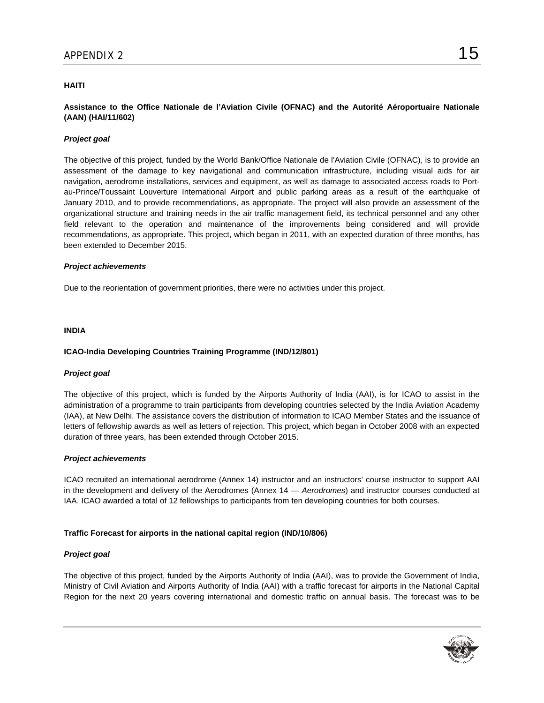# **HAITI**

# **Assistance to the Office Nationale de l'Aviation Civile (OFNAC) and the Autorité Aéroportuaire Nationale (AAN) (HAI/11/602)**

### *Project goal*

The objective of this project, funded by the World Bank/Office Nationale de l'Aviation Civile (OFNAC), is to provide an assessment of the damage to key navigational and communication infrastructure, including visual aids for air navigation, aerodrome installations, services and equipment, as well as damage to associated access roads to Portau-Prince/Toussaint Louverture International Airport and public parking areas as a result of the earthquake of January 2010, and to provide recommendations, as appropriate. The project will also provide an assessment of the organizational structure and training needs in the air traffic management field, its technical personnel and any other field relevant to the operation and maintenance of the improvements being considered and will provide recommendations, as appropriate. This project, which began in 2011, with an expected duration of three months, has been extended to December 2015.

#### *Project achievements*

Due to the reorientation of government priorities, there were no activities under this project.

#### **INDIA**

#### **ICAO-India Developing Countries Training Programme (IND/12/801)**

#### *Project goal*

The objective of this project, which is funded by the Airports Authority of India (AAI), is for ICAO to assist in the administration of a programme to train participants from developing countries selected by the India Aviation Academy (IAA), at New Delhi. The assistance covers the distribution of information to ICAO Member States and the issuance of letters of fellowship awards as well as letters of rejection. This project, which began in October 2008 with an expected duration of three years, has been extended through October 2015.

#### *Project achievements*

ICAO recruited an international aerodrome (Annex 14) instructor and an instructors' course instructor to support AAI in the development and delivery of the Aerodromes (Annex 14 — *Aerodromes*) and instructor courses conducted at IAA. ICAO awarded a total of 12 fellowships to participants from ten developing countries for both courses.

#### **Traffic Forecast for airports in the national capital region (IND/10/806)**

#### *Project goal*

The objective of this project, funded by the Airports Authority of India (AAI), was to provide the Government of India, Ministry of Civil Aviation and Airports Authority of India (AAI) with a traffic forecast for airports in the National Capital Region for the next 20 years covering international and domestic traffic on annual basis. The forecast was to be

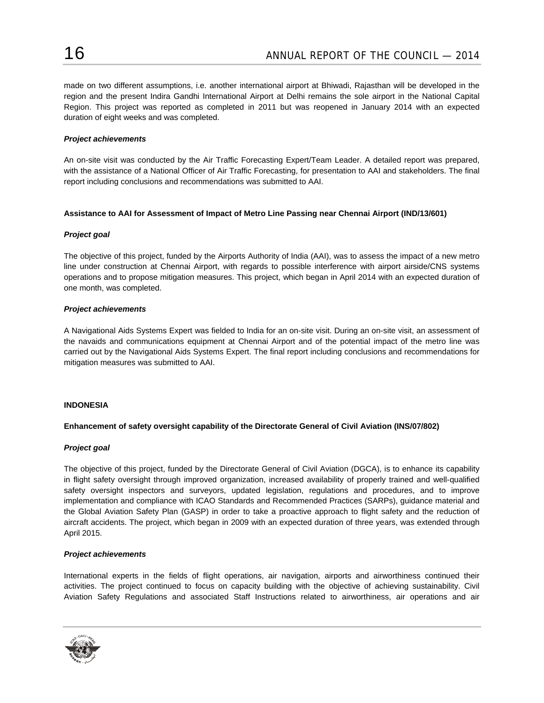made on two different assumptions, i.e. another international airport at Bhiwadi, Rajasthan will be developed in the region and the present Indira Gandhi International Airport at Delhi remains the sole airport in the National Capital Region. This project was reported as completed in 2011 but was reopened in January 2014 with an expected duration of eight weeks and was completed.

### *Project achievements*

An on-site visit was conducted by the Air Traffic Forecasting Expert/Team Leader. A detailed report was prepared, with the assistance of a National Officer of Air Traffic Forecasting, for presentation to AAI and stakeholders. The final report including conclusions and recommendations was submitted to AAI.

#### **Assistance to AAI for Assessment of Impact of Metro Line Passing near Chennai Airport (IND/13/601)**

# *Project goal*

The objective of this project, funded by the Airports Authority of India (AAI), was to assess the impact of a new metro line under construction at Chennai Airport, with regards to possible interference with airport airside/CNS systems operations and to propose mitigation measures. This project, which began in April 2014 with an expected duration of one month, was completed.

# *Project achievements*

A Navigational Aids Systems Expert was fielded to India for an on-site visit. During an on-site visit, an assessment of the navaids and communications equipment at Chennai Airport and of the potential impact of the metro line was carried out by the Navigational Aids Systems Expert. The final report including conclusions and recommendations for mitigation measures was submitted to AAI.

#### **INDONESIA**

# **Enhancement of safety oversight capability of the Directorate General of Civil Aviation (INS/07/802)**

#### *Project goal*

The objective of this project, funded by the Directorate General of Civil Aviation (DGCA), is to enhance its capability in flight safety oversight through improved organization, increased availability of properly trained and well-qualified safety oversight inspectors and surveyors, updated legislation, regulations and procedures, and to improve implementation and compliance with ICAO Standards and Recommended Practices (SARPs), guidance material and the Global Aviation Safety Plan (GASP) in order to take a proactive approach to flight safety and the reduction of aircraft accidents. The project, which began in 2009 with an expected duration of three years, was extended through April 2015.

# *Project achievements*

International experts in the fields of flight operations, air navigation, airports and airworthiness continued their activities. The project continued to focus on capacity building with the objective of achieving sustainability. Civil Aviation Safety Regulations and associated Staff Instructions related to airworthiness, air operations and air

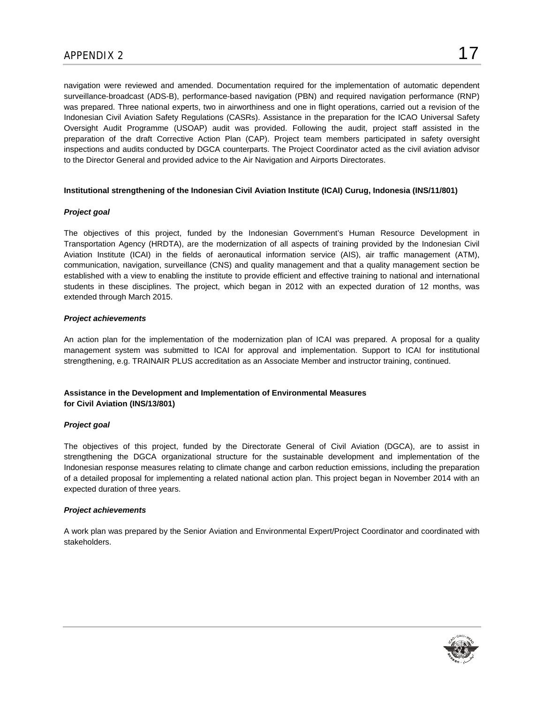navigation were reviewed and amended. Documentation required for the implementation of automatic dependent surveillance-broadcast (ADS-B), performance-based navigation (PBN) and required navigation performance (RNP) was prepared. Three national experts, two in airworthiness and one in flight operations, carried out a revision of the Indonesian Civil Aviation Safety Regulations (CASRs). Assistance in the preparation for the ICAO Universal Safety Oversight Audit Programme (USOAP) audit was provided. Following the audit, project staff assisted in the preparation of the draft Corrective Action Plan (CAP). Project team members participated in safety oversight inspections and audits conducted by DGCA counterparts. The Project Coordinator acted as the civil aviation advisor to the Director General and provided advice to the Air Navigation and Airports Directorates.

# **Institutional strengthening of the Indonesian Civil Aviation Institute (ICAI) Curug, Indonesia (INS/11/801)**

# *Project goal*

The objectives of this project, funded by the Indonesian Government's Human Resource Development in Transportation Agency (HRDTA), are the modernization of all aspects of training provided by the Indonesian Civil Aviation Institute (ICAI) in the fields of aeronautical information service (AIS), air traffic management (ATM), communication, navigation, surveillance (CNS) and quality management and that a quality management section be established with a view to enabling the institute to provide efficient and effective training to national and international students in these disciplines. The project, which began in 2012 with an expected duration of 12 months, was extended through March 2015.

# *Project achievements*

An action plan for the implementation of the modernization plan of ICAI was prepared. A proposal for a quality management system was submitted to ICAI for approval and implementation. Support to ICAI for institutional strengthening, e.g. TRAINAIR PLUS accreditation as an Associate Member and instructor training, continued.

# **Assistance in the Development and Implementation of Environmental Measures for Civil Aviation (INS/13/801)**

# *Project goal*

The objectives of this project, funded by the Directorate General of Civil Aviation (DGCA), are to assist in strengthening the DGCA organizational structure for the sustainable development and implementation of the Indonesian response measures relating to climate change and carbon reduction emissions, including the preparation of a detailed proposal for implementing a related national action plan. This project began in November 2014 with an expected duration of three years.

#### *Project achievements*

A work plan was prepared by the Senior Aviation and Environmental Expert/Project Coordinator and coordinated with stakeholders.

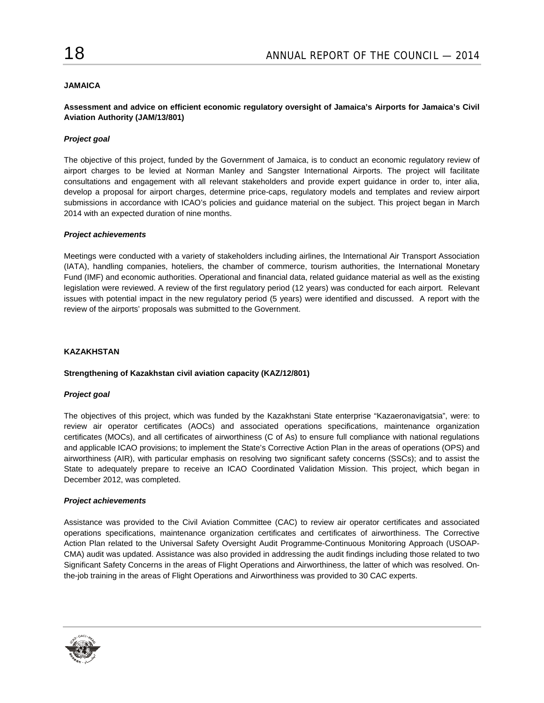# **JAMAICA**

# **Assessment and advice on efficient economic regulatory oversight of Jamaica's Airports for Jamaica's Civil Aviation Authority (JAM/13/801)**

### *Project goal*

The objective of this project, funded by the Government of Jamaica, is to conduct an economic regulatory review of airport charges to be levied at Norman Manley and Sangster International Airports. The project will facilitate consultations and engagement with all relevant stakeholders and provide expert guidance in order to, inter alia, develop a proposal for airport charges, determine price-caps, regulatory models and templates and review airport submissions in accordance with ICAO's policies and guidance material on the subject. This project began in March 2014 with an expected duration of nine months.

#### *Project achievements*

Meetings were conducted with a variety of stakeholders including airlines, the International Air Transport Association (IATA), handling companies, hoteliers, the chamber of commerce, tourism authorities, the International Monetary Fund (IMF) and economic authorities. Operational and financial data, related guidance material as well as the existing legislation were reviewed. A review of the first regulatory period (12 years) was conducted for each airport. Relevant issues with potential impact in the new regulatory period (5 years) were identified and discussed. A report with the review of the airports' proposals was submitted to the Government.

### **KAZAKHSTAN**

#### **Strengthening of Kazakhstan civil aviation capacity (KAZ/12/801)**

#### *Project goal*

The objectives of this project, which was funded by the Kazakhstani State enterprise "Kazaeronavigatsia", were: to review air operator certificates (AOCs) and associated operations specifications, maintenance organization certificates (MOCs), and all certificates of airworthiness (C of As) to ensure full compliance with national regulations and applicable ICAO provisions; to implement the State's Corrective Action Plan in the areas of operations (OPS) and airworthiness (AIR), with particular emphasis on resolving two significant safety concerns (SSCs); and to assist the State to adequately prepare to receive an ICAO Coordinated Validation Mission. This project, which began in December 2012, was completed.

#### *Project achievements*

Assistance was provided to the Civil Aviation Committee (CAC) to review air operator certificates and associated operations specifications, maintenance organization certificates and certificates of airworthiness. The Corrective Action Plan related to the Universal Safety Oversight Audit Programme-Continuous Monitoring Approach (USOAP-CMA) audit was updated. Assistance was also provided in addressing the audit findings including those related to two Significant Safety Concerns in the areas of Flight Operations and Airworthiness, the latter of which was resolved. Onthe-job training in the areas of Flight Operations and Airworthiness was provided to 30 CAC experts.

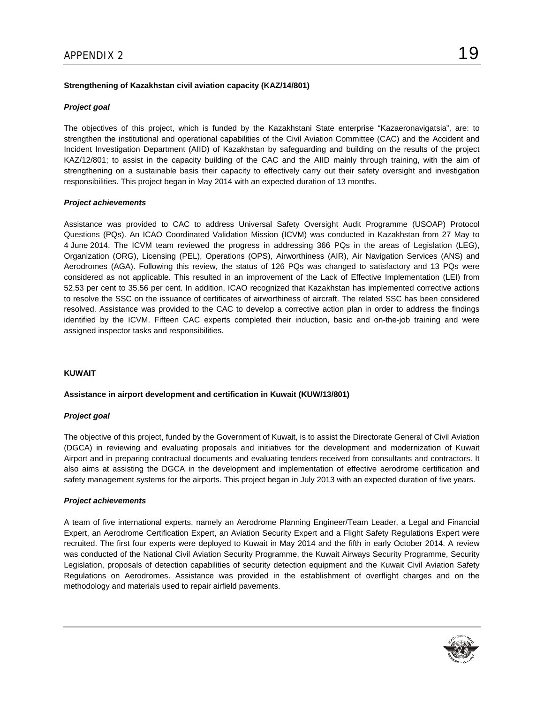# **Strengthening of Kazakhstan civil aviation capacity (KAZ/14/801)**

### *Project goal*

The objectives of this project, which is funded by the Kazakhstani State enterprise "Kazaeronavigatsia", are: to strengthen the institutional and operational capabilities of the Civil Aviation Committee (CAC) and the Accident and Incident Investigation Department (AIID) of Kazakhstan by safeguarding and building on the results of the project KAZ/12/801; to assist in the capacity building of the CAC and the AIID mainly through training, with the aim of strengthening on a sustainable basis their capacity to effectively carry out their safety oversight and investigation responsibilities. This project began in May 2014 with an expected duration of 13 months.

# *Project achievements*

Assistance was provided to CAC to address Universal Safety Oversight Audit Programme (USOAP) Protocol Questions (PQs). An ICAO Coordinated Validation Mission (ICVM) was conducted in Kazakhstan from 27 May to 4 June 2014. The ICVM team reviewed the progress in addressing 366 PQs in the areas of Legislation (LEG), Organization (ORG), Licensing (PEL), Operations (OPS), Airworthiness (AIR), Air Navigation Services (ANS) and Aerodromes (AGA). Following this review, the status of 126 PQs was changed to satisfactory and 13 PQs were considered as not applicable. This resulted in an improvement of the Lack of Effective Implementation (LEI) from 52.53 per cent to 35.56 per cent. In addition, ICAO recognized that Kazakhstan has implemented corrective actions to resolve the SSC on the issuance of certificates of airworthiness of aircraft. The related SSC has been considered resolved. Assistance was provided to the CAC to develop a corrective action plan in order to address the findings identified by the ICVM. Fifteen CAC experts completed their induction, basic and on-the-job training and were assigned inspector tasks and responsibilities.

#### **KUWAIT**

### **Assistance in airport development and certification in Kuwait (KUW/13/801)**

#### *Project goal*

The objective of this project, funded by the Government of Kuwait, is to assist the Directorate General of Civil Aviation (DGCA) in reviewing and evaluating proposals and initiatives for the development and modernization of Kuwait Airport and in preparing contractual documents and evaluating tenders received from consultants and contractors. It also aims at assisting the DGCA in the development and implementation of effective aerodrome certification and safety management systems for the airports. This project began in July 2013 with an expected duration of five years.

#### *Project achievements*

A team of five international experts, namely an Aerodrome Planning Engineer/Team Leader, a Legal and Financial Expert, an Aerodrome Certification Expert, an Aviation Security Expert and a Flight Safety Regulations Expert were recruited. The first four experts were deployed to Kuwait in May 2014 and the fifth in early October 2014. A review was conducted of the National Civil Aviation Security Programme, the Kuwait Airways Security Programme, Security Legislation, proposals of detection capabilities of security detection equipment and the Kuwait Civil Aviation Safety Regulations on Aerodromes. Assistance was provided in the establishment of overflight charges and on the methodology and materials used to repair airfield pavements.

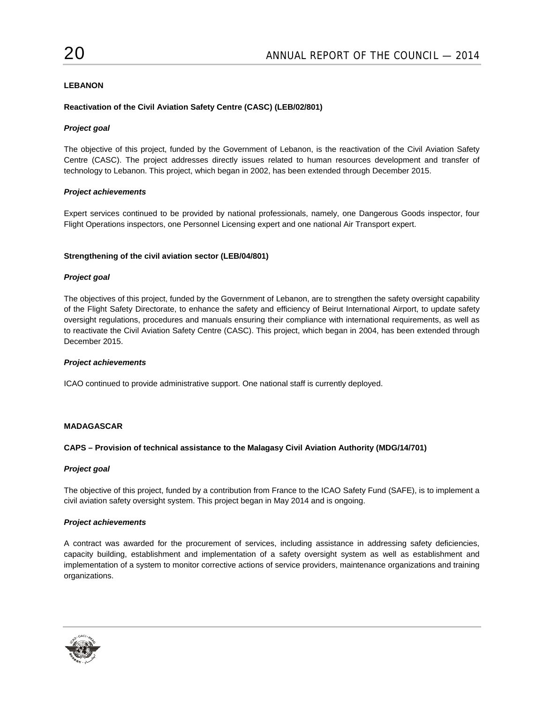# **LEBANON**

# **Reactivation of the Civil Aviation Safety Centre (CASC) (LEB/02/801)**

# *Project goal*

The objective of this project, funded by the Government of Lebanon, is the reactivation of the Civil Aviation Safety Centre (CASC). The project addresses directly issues related to human resources development and transfer of technology to Lebanon. This project, which began in 2002, has been extended through December 2015.

# *Project achievements*

Expert services continued to be provided by national professionals, namely, one Dangerous Goods inspector, four Flight Operations inspectors, one Personnel Licensing expert and one national Air Transport expert.

# **Strengthening of the civil aviation sector (LEB/04/801)**

# *Project goal*

The objectives of this project, funded by the Government of Lebanon, are to strengthen the safety oversight capability of the Flight Safety Directorate, to enhance the safety and efficiency of Beirut International Airport, to update safety oversight regulations, procedures and manuals ensuring their compliance with international requirements, as well as to reactivate the Civil Aviation Safety Centre (CASC). This project, which began in 2004, has been extended through December 2015.

#### *Project achievements*

ICAO continued to provide administrative support. One national staff is currently deployed.

# **MADAGASCAR**

#### **CAPS – Provision of technical assistance to the Malagasy Civil Aviation Authority (MDG/14/701)**

# *Project goal*

The objective of this project, funded by a contribution from France to the ICAO Safety Fund (SAFE), is to implement a civil aviation safety oversight system. This project began in May 2014 and is ongoing.

# *Project achievements*

A contract was awarded for the procurement of services, including assistance in addressing safety deficiencies, capacity building, establishment and implementation of a safety oversight system as well as establishment and implementation of a system to monitor corrective actions of service providers, maintenance organizations and training organizations.

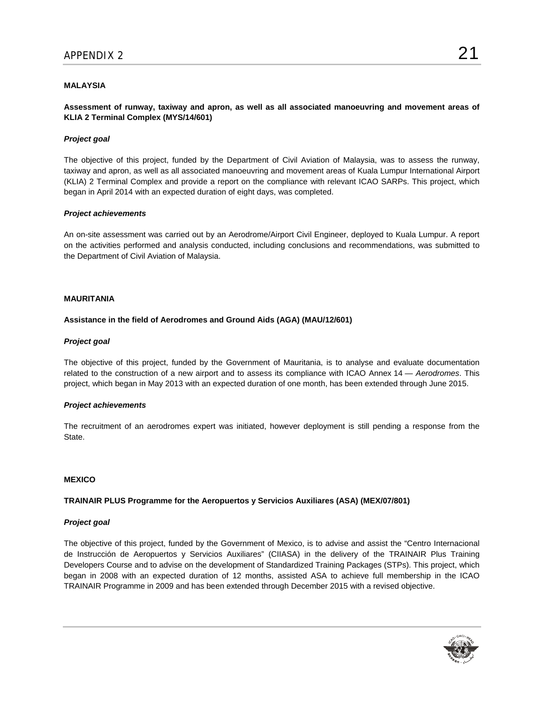# **MALAYSIA**

**Assessment of runway, taxiway and apron, as well as all associated manoeuvring and movement areas of KLIA 2 Terminal Complex (MYS/14/601)** 

### *Project goal*

The objective of this project, funded by the Department of Civil Aviation of Malaysia, was to assess the runway, taxiway and apron, as well as all associated manoeuvring and movement areas of Kuala Lumpur International Airport (KLIA) 2 Terminal Complex and provide a report on the compliance with relevant ICAO SARPs. This project, which began in April 2014 with an expected duration of eight days, was completed.

#### *Project achievements*

An on-site assessment was carried out by an Aerodrome/Airport Civil Engineer, deployed to Kuala Lumpur. A report on the activities performed and analysis conducted, including conclusions and recommendations, was submitted to the Department of Civil Aviation of Malaysia.

# **MAURITANIA**

#### **Assistance in the field of Aerodromes and Ground Aids (AGA) (MAU/12/601)**

#### *Project goal*

The objective of this project, funded by the Government of Mauritania, is to analyse and evaluate documentation related to the construction of a new airport and to assess its compliance with ICAO Annex 14 — *Aerodromes*. This project, which began in May 2013 with an expected duration of one month, has been extended through June 2015.

#### *Project achievements*

The recruitment of an aerodromes expert was initiated, however deployment is still pending a response from the State.

#### **MEXICO**

#### **TRAINAIR PLUS Programme for the Aeropuertos y Servicios Auxiliares (ASA) (MEX/07/801)**

#### *Project goal*

The objective of this project, funded by the Government of Mexico, is to advise and assist the "Centro Internacional de Instrucción de Aeropuertos y Servicios Auxiliares" (CIIASA) in the delivery of the TRAINAIR Plus Training Developers Course and to advise on the development of Standardized Training Packages (STPs). This project, which began in 2008 with an expected duration of 12 months, assisted ASA to achieve full membership in the ICAO TRAINAIR Programme in 2009 and has been extended through December 2015 with a revised objective.

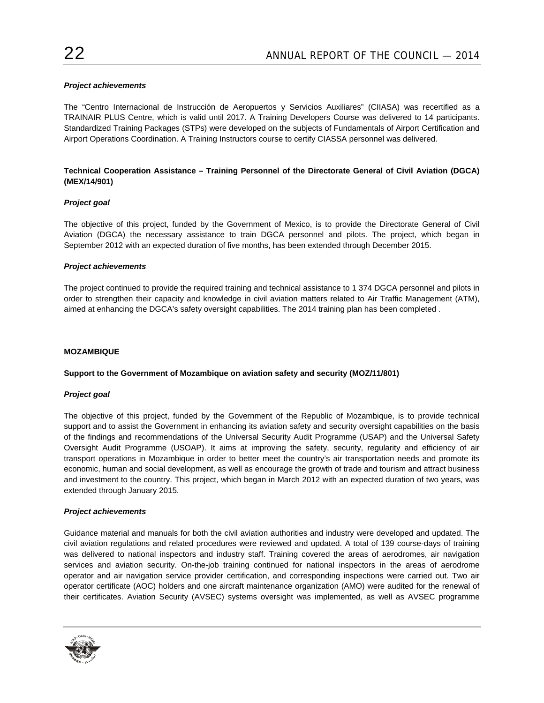# *Project achievements*

The "Centro Internacional de Instrucción de Aeropuertos y Servicios Auxiliares" (CIIASA) was recertified as a TRAINAIR PLUS Centre, which is valid until 2017. A Training Developers Course was delivered to 14 participants. Standardized Training Packages (STPs) were developed on the subjects of Fundamentals of Airport Certification and Airport Operations Coordination. A Training Instructors course to certify CIASSA personnel was delivered.

# **Technical Cooperation Assistance – Training Personnel of the Directorate General of Civil Aviation (DGCA) (MEX/14/901)**

# *Project goal*

The objective of this project, funded by the Government of Mexico, is to provide the Directorate General of Civil Aviation (DGCA) the necessary assistance to train DGCA personnel and pilots. The project, which began in September 2012 with an expected duration of five months, has been extended through December 2015.

# *Project achievements*

The project continued to provide the required training and technical assistance to 1 374 DGCA personnel and pilots in order to strengthen their capacity and knowledge in civil aviation matters related to Air Traffic Management (ATM), aimed at enhancing the DGCA's safety oversight capabilities. The 2014 training plan has been completed .

# **MOZAMBIQUE**

#### **Support to the Government of Mozambique on aviation safety and security (MOZ/11/801)**

#### *Project goal*

The objective of this project, funded by the Government of the Republic of Mozambique, is to provide technical support and to assist the Government in enhancing its aviation safety and security oversight capabilities on the basis of the findings and recommendations of the Universal Security Audit Programme (USAP) and the Universal Safety Oversight Audit Programme (USOAP). It aims at improving the safety, security, regularity and efficiency of air transport operations in Mozambique in order to better meet the country's air transportation needs and promote its economic, human and social development, as well as encourage the growth of trade and tourism and attract business and investment to the country. This project, which began in March 2012 with an expected duration of two years, was extended through January 2015.

#### *Project achievements*

Guidance material and manuals for both the civil aviation authorities and industry were developed and updated. The civil aviation regulations and related procedures were reviewed and updated. A total of 139 course-days of training was delivered to national inspectors and industry staff. Training covered the areas of aerodromes, air navigation services and aviation security. On-the-job training continued for national inspectors in the areas of aerodrome operator and air navigation service provider certification, and corresponding inspections were carried out. Two air operator certificate (AOC) holders and one aircraft maintenance organization (AMO) were audited for the renewal of their certificates. Aviation Security (AVSEC) systems oversight was implemented, as well as AVSEC programme

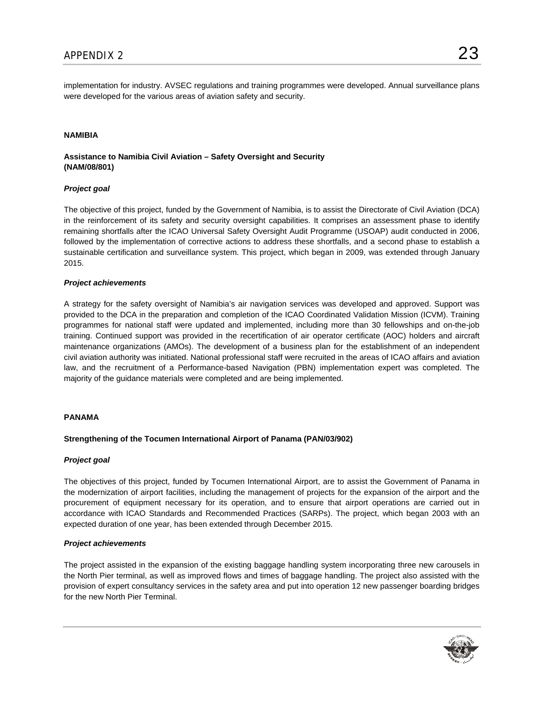implementation for industry. AVSEC regulations and training programmes were developed. Annual surveillance plans were developed for the various areas of aviation safety and security.

# **NAMIBIA**

# **Assistance to Namibia Civil Aviation – Safety Oversight and Security (NAM/08/801)**

# *Project goal*

The objective of this project, funded by the Government of Namibia, is to assist the Directorate of Civil Aviation (DCA) in the reinforcement of its safety and security oversight capabilities. It comprises an assessment phase to identify remaining shortfalls after the ICAO Universal Safety Oversight Audit Programme (USOAP) audit conducted in 2006, followed by the implementation of corrective actions to address these shortfalls, and a second phase to establish a sustainable certification and surveillance system. This project, which began in 2009, was extended through January 2015.

#### *Project achievements*

A strategy for the safety oversight of Namibia's air navigation services was developed and approved. Support was provided to the DCA in the preparation and completion of the ICAO Coordinated Validation Mission (ICVM). Training programmes for national staff were updated and implemented, including more than 30 fellowships and on-the-job training. Continued support was provided in the recertification of air operator certificate (AOC) holders and aircraft maintenance organizations (AMOs). The development of a business plan for the establishment of an independent civil aviation authority was initiated. National professional staff were recruited in the areas of ICAO affairs and aviation law, and the recruitment of a Performance-based Navigation (PBN) implementation expert was completed. The majority of the guidance materials were completed and are being implemented.

#### **PANAMA**

#### **Strengthening of the Tocumen International Airport of Panama (PAN/03/902)**

#### *Project goal*

The objectives of this project, funded by Tocumen International Airport, are to assist the Government of Panama in the modernization of airport facilities, including the management of projects for the expansion of the airport and the procurement of equipment necessary for its operation, and to ensure that airport operations are carried out in accordance with ICAO Standards and Recommended Practices (SARPs). The project, which began 2003 with an expected duration of one year, has been extended through December 2015.

#### *Project achievements*

The project assisted in the expansion of the existing baggage handling system incorporating three new carousels in the North Pier terminal, as well as improved flows and times of baggage handling. The project also assisted with the provision of expert consultancy services in the safety area and put into operation 12 new passenger boarding bridges for the new North Pier Terminal.



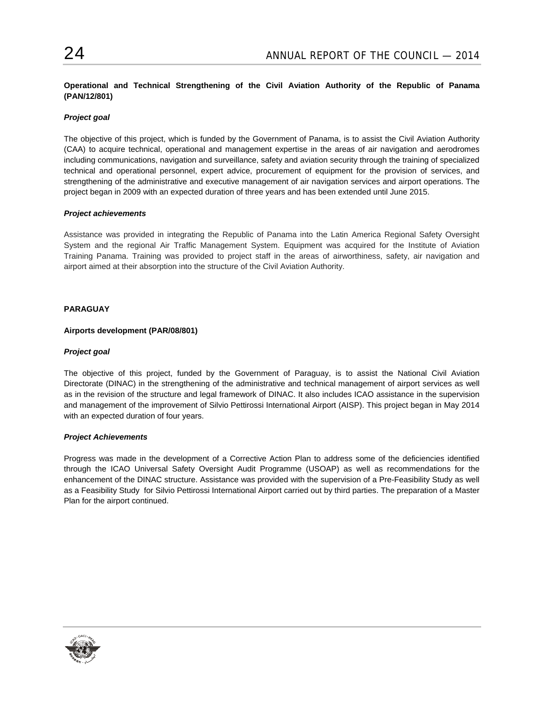**Operational and Technical Strengthening of the Civil Aviation Authority of the Republic of Panama (PAN/12/801)** 

# *Project goal*

The objective of this project, which is funded by the Government of Panama, is to assist the Civil Aviation Authority (CAA) to acquire technical, operational and management expertise in the areas of air navigation and aerodromes including communications, navigation and surveillance, safety and aviation security through the training of specialized technical and operational personnel, expert advice, procurement of equipment for the provision of services, and strengthening of the administrative and executive management of air navigation services and airport operations. The project began in 2009 with an expected duration of three years and has been extended until June 2015.

# *Project achievements*

Assistance was provided in integrating the Republic of Panama into the Latin America Regional Safety Oversight System and the regional Air Traffic Management System. Equipment was acquired for the Institute of Aviation Training Panama. Training was provided to project staff in the areas of airworthiness, safety, air navigation and airport aimed at their absorption into the structure of the Civil Aviation Authority.

# **PARAGUAY**

# **Airports development (PAR/08/801)**

# *Project goal*

The objective of this project, funded by the Government of Paraguay, is to assist the National Civil Aviation Directorate (DINAC) in the strengthening of the administrative and technical management of airport services as well as in the revision of the structure and legal framework of DINAC. It also includes ICAO assistance in the supervision and management of the improvement of Silvio Pettirossi International Airport (AISP). This project began in May 2014 with an expected duration of four years.

#### *Project Achievements*

Progress was made in the development of a Corrective Action Plan to address some of the deficiencies identified through the ICAO Universal Safety Oversight Audit Programme (USOAP) as well as recommendations for the enhancement of the DINAC structure. Assistance was provided with the supervision of a Pre-Feasibility Study as well as a Feasibility Study for Silvio Pettirossi International Airport carried out by third parties. The preparation of a Master Plan for the airport continued.

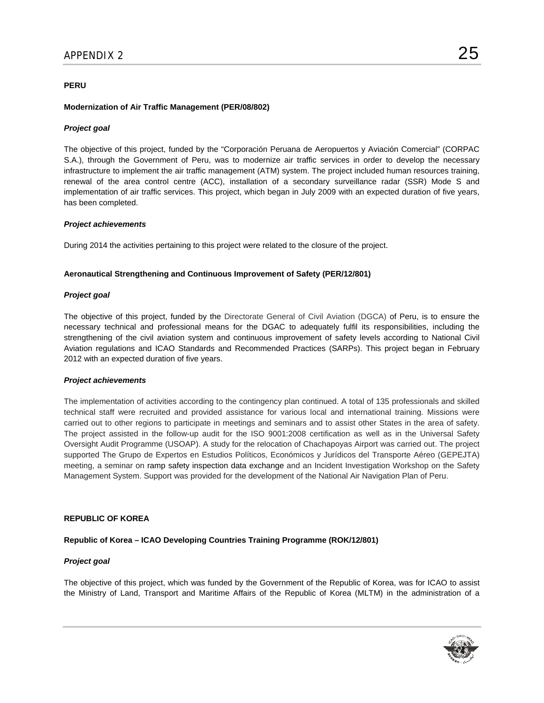# **PERU**

### **Modernization of Air Traffic Management (PER/08/802)**

### *Project goal*

The objective of this project, funded by the "Corporación Peruana de Aeropuertos y Aviación Comercial" (CORPAC S.A.), through the Government of Peru, was to modernize air traffic services in order to develop the necessary infrastructure to implement the air traffic management (ATM) system. The project included human resources training, renewal of the area control centre (ACC), installation of a secondary surveillance radar (SSR) Mode S and implementation of air traffic services. This project, which began in July 2009 with an expected duration of five years, has been completed.

#### *Project achievements*

During 2014 the activities pertaining to this project were related to the closure of the project.

# **Aeronautical Strengthening and Continuous Improvement of Safety (PER/12/801)**

#### *Project goal*

The objective of this project, funded by the Directorate General of Civil Aviation (DGCA) of Peru, is to ensure the necessary technical and professional means for the DGAC to adequately fulfil its responsibilities, including the strengthening of the civil aviation system and continuous improvement of safety levels according to National Civil Aviation regulations and ICAO Standards and Recommended Practices (SARPs). This project began in February 2012 with an expected duration of five years.

#### *Project achievements*

The implementation of activities according to the contingency plan continued. A total of 135 professionals and skilled technical staff were recruited and provided assistance for various local and international training. Missions were carried out to other regions to participate in meetings and seminars and to assist other States in the area of safety. The project assisted in the follow-up audit for the ISO 9001:2008 certification as well as in the Universal Safety Oversight Audit Programme (USOAP). A study for the relocation of Chachapoyas Airport was carried out. The project supported The Grupo de Expertos en Estudios Políticos, Económicos y Jurídicos del Transporte Aéreo (GEPEJTA) meeting, a seminar on ramp safety inspection data exchange and an Incident Investigation Workshop on the Safety Management System. Support was provided for the development of the National Air Navigation Plan of Peru.

# **REPUBLIC OF KOREA**

# **Republic of Korea – ICAO Developing Countries Training Programme (ROK/12/801)**

#### *Project goal*

The objective of this project, which was funded by the Government of the Republic of Korea, was for ICAO to assist the Ministry of Land, Transport and Maritime Affairs of the Republic of Korea (MLTM) in the administration of a

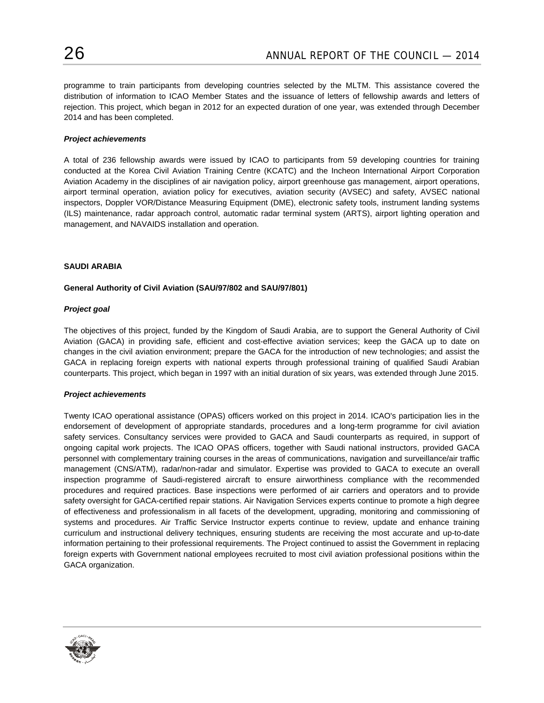programme to train participants from developing countries selected by the MLTM. This assistance covered the distribution of information to ICAO Member States and the issuance of letters of fellowship awards and letters of rejection. This project, which began in 2012 for an expected duration of one year, was extended through December 2014 and has been completed.

### *Project achievements*

A total of 236 fellowship awards were issued by ICAO to participants from 59 developing countries for training conducted at the Korea Civil Aviation Training Centre (KCATC) and the Incheon International Airport Corporation Aviation Academy in the disciplines of air navigation policy, airport greenhouse gas management, airport operations, airport terminal operation, aviation policy for executives, aviation security (AVSEC) and safety, AVSEC national inspectors, Doppler VOR/Distance Measuring Equipment (DME), electronic safety tools, instrument landing systems (ILS) maintenance, radar approach control, automatic radar terminal system (ARTS), airport lighting operation and management, and NAVAIDS installation and operation.

#### **SAUDI ARABIA**

# **General Authority of Civil Aviation (SAU/97/802 and SAU/97/801)**

#### *Project goal*

The objectives of this project, funded by the Kingdom of Saudi Arabia, are to support the General Authority of Civil Aviation (GACA) in providing safe, efficient and cost-effective aviation services; keep the GACA up to date on changes in the civil aviation environment; prepare the GACA for the introduction of new technologies; and assist the GACA in replacing foreign experts with national experts through professional training of qualified Saudi Arabian counterparts. This project, which began in 1997 with an initial duration of six years, was extended through June 2015.

#### *Project achievements*

Twenty ICAO operational assistance (OPAS) officers worked on this project in 2014. ICAO's participation lies in the endorsement of development of appropriate standards, procedures and a long-term programme for civil aviation safety services. Consultancy services were provided to GACA and Saudi counterparts as required, in support of ongoing capital work projects. The ICAO OPAS officers, together with Saudi national instructors, provided GACA personnel with complementary training courses in the areas of communications, navigation and surveillance/air traffic management (CNS/ATM), radar/non-radar and simulator. Expertise was provided to GACA to execute an overall inspection programme of Saudi-registered aircraft to ensure airworthiness compliance with the recommended procedures and required practices. Base inspections were performed of air carriers and operators and to provide safety oversight for GACA-certified repair stations. Air Navigation Services experts continue to promote a high degree of effectiveness and professionalism in all facets of the development, upgrading, monitoring and commissioning of systems and procedures. Air Traffic Service Instructor experts continue to review, update and enhance training curriculum and instructional delivery techniques, ensuring students are receiving the most accurate and up-to-date information pertaining to their professional requirements. The Project continued to assist the Government in replacing foreign experts with Government national employees recruited to most civil aviation professional positions within the GACA organization.

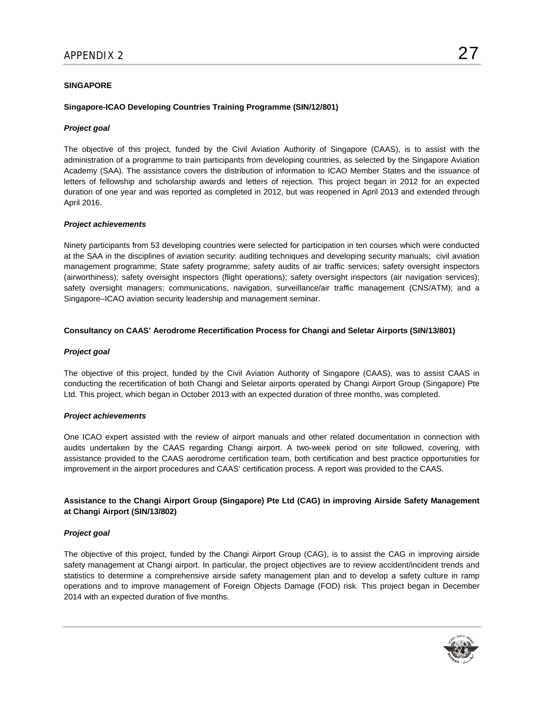### **SINGAPORE**

# **Singapore-ICAO Developing Countries Training Programme (SIN/12/801)**

### *Project goal*

The objective of this project, funded by the Civil Aviation Authority of Singapore (CAAS), is to assist with the administration of a programme to train participants from developing countries, as selected by the Singapore Aviation Academy (SAA). The assistance covers the distribution of information to ICAO Member States and the issuance of letters of fellowship and scholarship awards and letters of rejection. This project began in 2012 for an expected duration of one year and was reported as completed in 2012, but was reopened in April 2013 and extended through April 2016.

#### *Project achievements*

Ninety participants from 53 developing countries were selected for participation in ten courses which were conducted at the SAA in the disciplines of aviation security: auditing techniques and developing security manuals; civil aviation management programme; State safety programme; safety audits of air traffic services; safety oversight inspectors (airworthiness); safety oversight inspectors (flight operations); safety oversight inspectors (air navigation services); safety oversight managers; communications, navigation, surveillance/air traffic management (CNS/ATM); and a Singapore–ICAO aviation security leadership and management seminar.

#### **Consultancy on CAAS' Aerodrome Recertification Process for Changi and Seletar Airports (SIN/13/801)**

### *Project goal*

The objective of this project, funded by the Civil Aviation Authority of Singapore (CAAS), was to assist CAAS in conducting the recertification of both Changi and Seletar airports operated by Changi Airport Group (Singapore) Pte Ltd. This project, which began in October 2013 with an expected duration of three months, was completed.

#### *Project achievements*

One ICAO expert assisted with the review of airport manuals and other related documentation in connection with audits undertaken by the CAAS regarding Changi airport. A two-week period on site followed, covering, with assistance provided to the CAAS aerodrome certification team, both certification and best practice opportunities for improvement in the airport procedures and CAAS' certification process. A report was provided to the CAAS.

# **Assistance to the Changi Airport Group (Singapore) Pte Ltd (CAG) in improving Airside Safety Management at Changi Airport (SIN/13/802)**

# *Project goal*

The objective of this project, funded by the Changi Airport Group (CAG), is to assist the CAG in improving airside safety management at Changi airport. In particular, the project objectives are to review accident/incident trends and statistics to determine a comprehensive airside safety management plan and to develop a safety culture in ramp operations and to improve management of Foreign Objects Damage (FOD) risk. This project began in December 2014 with an expected duration of five months.



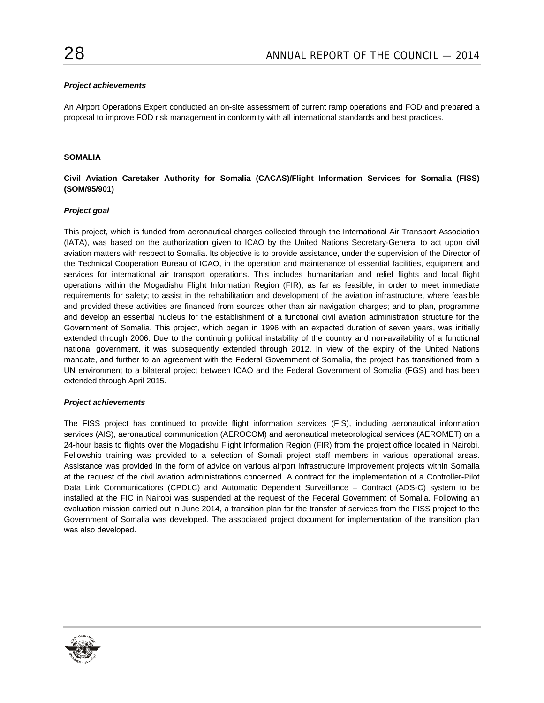### *Project achievements*

An Airport Operations Expert conducted an on-site assessment of current ramp operations and FOD and prepared a proposal to improve FOD risk management in conformity with all international standards and best practices.

### **SOMALIA**

# **Civil Aviation Caretaker Authority for Somalia (CACAS)/Flight Information Services for Somalia (FISS) (SOM/95/901)**

# *Project goal*

This project, which is funded from aeronautical charges collected through the International Air Transport Association (IATA), was based on the authorization given to ICAO by the United Nations Secretary-General to act upon civil aviation matters with respect to Somalia. Its objective is to provide assistance, under the supervision of the Director of the Technical Cooperation Bureau of ICAO, in the operation and maintenance of essential facilities, equipment and services for international air transport operations. This includes humanitarian and relief flights and local flight operations within the Mogadishu Flight Information Region (FIR), as far as feasible, in order to meet immediate requirements for safety; to assist in the rehabilitation and development of the aviation infrastructure, where feasible and provided these activities are financed from sources other than air navigation charges; and to plan, programme and develop an essential nucleus for the establishment of a functional civil aviation administration structure for the Government of Somalia. This project, which began in 1996 with an expected duration of seven years, was initially extended through 2006. Due to the continuing political instability of the country and non-availability of a functional national government, it was subsequently extended through 2012. In view of the expiry of the United Nations mandate, and further to an agreement with the Federal Government of Somalia, the project has transitioned from a UN environment to a bilateral project between ICAO and the Federal Government of Somalia (FGS) and has been extended through April 2015.

#### *Project achievements*

The FISS project has continued to provide flight information services (FIS), including aeronautical information services (AIS), aeronautical communication (AEROCOM) and aeronautical meteorological services (AEROMET) on a 24-hour basis to flights over the Mogadishu Flight Information Region (FIR) from the project office located in Nairobi. Fellowship training was provided to a selection of Somali project staff members in various operational areas. Assistance was provided in the form of advice on various airport infrastructure improvement projects within Somalia at the request of the civil aviation administrations concerned. A contract for the implementation of a Controller-Pilot Data Link Communications (CPDLC) and Automatic Dependent Surveillance – Contract (ADS-C) system to be installed at the FIC in Nairobi was suspended at the request of the Federal Government of Somalia. Following an evaluation mission carried out in June 2014, a transition plan for the transfer of services from the FISS project to the Government of Somalia was developed. The associated project document for implementation of the transition plan was also developed.

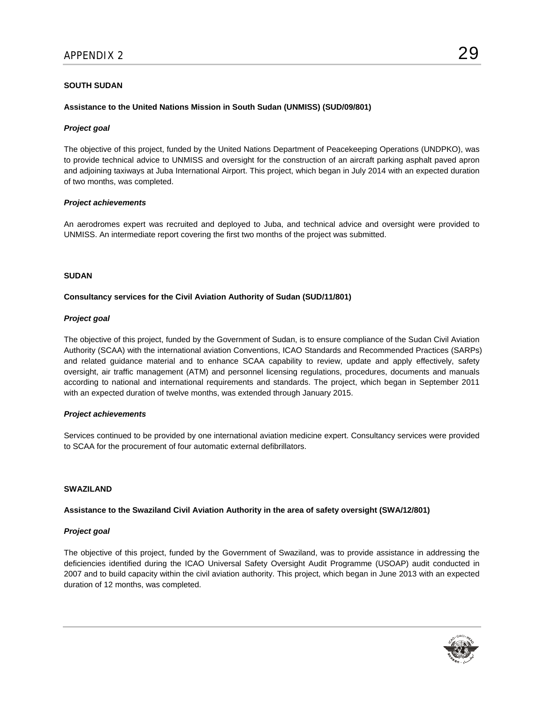# **SOUTH SUDAN**

### **Assistance to the United Nations Mission in South Sudan (UNMISS) (SUD/09/801)**

### *Project goal*

The objective of this project, funded by the United Nations Department of Peacekeeping Operations (UNDPKO), was to provide technical advice to UNMISS and oversight for the construction of an aircraft parking asphalt paved apron and adjoining taxiways at Juba International Airport. This project, which began in July 2014 with an expected duration of two months, was completed.

# *Project achievements*

An aerodromes expert was recruited and deployed to Juba, and technical advice and oversight were provided to UNMISS. An intermediate report covering the first two months of the project was submitted.

#### **SUDAN**

#### **Consultancy services for the Civil Aviation Authority of Sudan (SUD/11/801)**

#### *Project goal*

The objective of this project, funded by the Government of Sudan, is to ensure compliance of the Sudan Civil Aviation Authority (SCAA) with the international aviation Conventions, ICAO Standards and Recommended Practices (SARPs) and related guidance material and to enhance SCAA capability to review, update and apply effectively, safety oversight, air traffic management (ATM) and personnel licensing regulations, procedures, documents and manuals according to national and international requirements and standards. The project, which began in September 2011 with an expected duration of twelve months, was extended through January 2015.

#### *Project achievements*

Services continued to be provided by one international aviation medicine expert. Consultancy services were provided to SCAA for the procurement of four automatic external defibrillators.

#### **SWAZILAND**

#### **Assistance to the Swaziland Civil Aviation Authority in the area of safety oversight (SWA/12/801)**

#### *Project goal*

The objective of this project, funded by the Government of Swaziland, was to provide assistance in addressing the deficiencies identified during the ICAO Universal Safety Oversight Audit Programme (USOAP) audit conducted in 2007 and to build capacity within the civil aviation authority. This project, which began in June 2013 with an expected duration of 12 months, was completed.

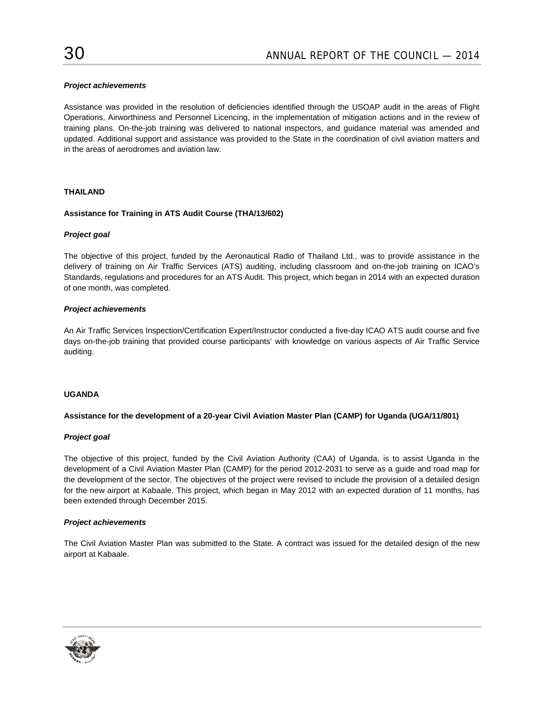# *Project achievements*

Assistance was provided in the resolution of deficiencies identified through the USOAP audit in the areas of Flight Operations, Airworthiness and Personnel Licencing, in the implementation of mitigation actions and in the review of training plans. On-the-job training was delivered to national inspectors, and guidance material was amended and updated. Additional support and assistance was provided to the State in the coordination of civil aviation matters and in the areas of aerodromes and aviation law.

# **THAILAND**

# **Assistance for Training in ATS Audit Course (THA/13/602)**

# *Project goal*

The objective of this project, funded by the Aeronautical Radio of Thailand Ltd., was to provide assistance in the delivery of training on Air Traffic Services (ATS) auditing, including classroom and on-the-job training on ICAO's Standards, regulations and procedures for an ATS Audit. This project, which began in 2014 with an expected duration of one month, was completed.

# *Project achievements*

An Air Traffic Services Inspection/Certification Expert/Instructor conducted a five-day ICAO ATS audit course and five days on-the-job training that provided course participants' with knowledge on various aspects of Air Traffic Service auditing.

# **UGANDA**

#### **Assistance for the development of a 20-year Civil Aviation Master Plan (CAMP) for Uganda (UGA/11/801)**

#### *Project goal*

The objective of this project, funded by the Civil Aviation Authority (CAA) of Uganda, is to assist Uganda in the development of a Civil Aviation Master Plan (CAMP) for the period 2012-2031 to serve as a guide and road map for the development of the sector. The objectives of the project were revised to include the provision of a detailed design for the new airport at Kabaale. This project, which began in May 2012 with an expected duration of 11 months, has been extended through December 2015.

#### *Project achievements*

The Civil Aviation Master Plan was submitted to the State. A contract was issued for the detailed design of the new airport at Kabaale.

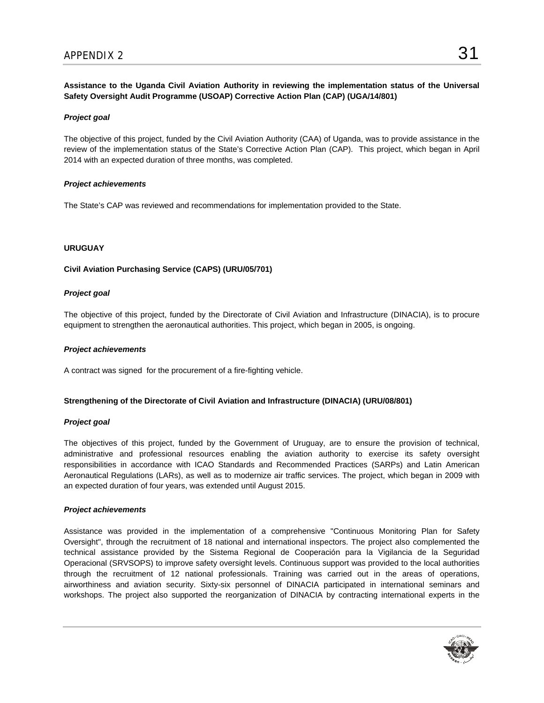**Assistance to the Uganda Civil Aviation Authority in reviewing the implementation status of the Universal Safety Oversight Audit Programme (USOAP) Corrective Action Plan (CAP) (UGA/14/801)** 

# *Project goal*

The objective of this project, funded by the Civil Aviation Authority (CAA) of Uganda, was to provide assistance in the review of the implementation status of the State's Corrective Action Plan (CAP). This project, which began in April 2014 with an expected duration of three months, was completed.

# *Project achievements*

The State's CAP was reviewed and recommendations for implementation provided to the State.

# **URUGUAY**

# **Civil Aviation Purchasing Service (CAPS) (URU/05/701)**

# *Project goal*

The objective of this project, funded by the Directorate of Civil Aviation and Infrastructure (DINACIA), is to procure equipment to strengthen the aeronautical authorities. This project, which began in 2005, is ongoing.

# *Project achievements*

A contract was signed for the procurement of a fire-fighting vehicle.

#### **Strengthening of the Directorate of Civil Aviation and Infrastructure (DINACIA) (URU/08/801)**

#### *Project goal*

The objectives of this project, funded by the Government of Uruguay, are to ensure the provision of technical, administrative and professional resources enabling the aviation authority to exercise its safety oversight responsibilities in accordance with ICAO Standards and Recommended Practices (SARPs) and Latin American Aeronautical Regulations (LARs), as well as to modernize air traffic services. The project, which began in 2009 with an expected duration of four years, was extended until August 2015.

#### *Project achievements*

Assistance was provided in the implementation of a comprehensive "Continuous Monitoring Plan for Safety Oversight", through the recruitment of 18 national and international inspectors. The project also complemented the technical assistance provided by the Sistema Regional de Cooperación para la Vigilancia de la Seguridad Operacional (SRVSOPS) to improve safety oversight levels. Continuous support was provided to the local authorities through the recruitment of 12 national professionals. Training was carried out in the areas of operations, airworthiness and aviation security. Sixty-six personnel of DINACIA participated in international seminars and workshops. The project also supported the reorganization of DINACIA by contracting international experts in the

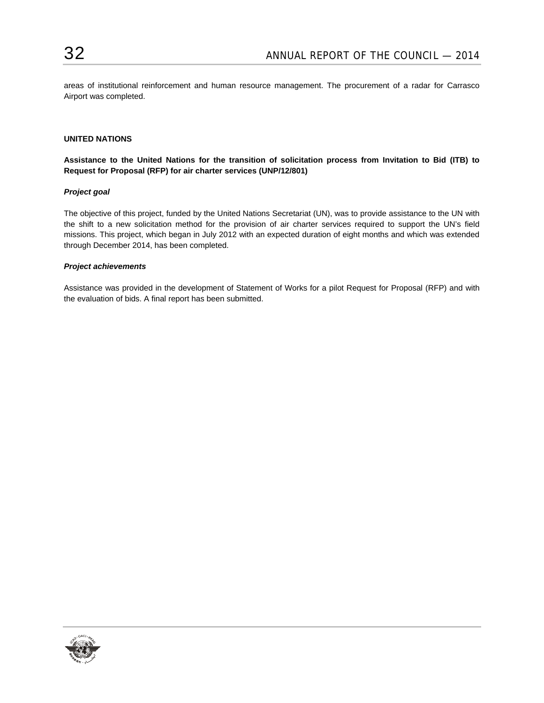areas of institutional reinforcement and human resource management. The procurement of a radar for Carrasco Airport was completed.

# **UNITED NATIONS**

**Assistance to the United Nations for the transition of solicitation process from Invitation to Bid (ITB) to Request for Proposal (RFP) for air charter services (UNP/12/801)** 

#### *Project goal*

The objective of this project, funded by the United Nations Secretariat (UN), was to provide assistance to the UN with the shift to a new solicitation method for the provision of air charter services required to support the UN's field missions. This project, which began in July 2012 with an expected duration of eight months and which was extended through December 2014, has been completed.

#### *Project achievements*

Assistance was provided in the development of Statement of Works for a pilot Request for Proposal (RFP) and with the evaluation of bids. A final report has been submitted.

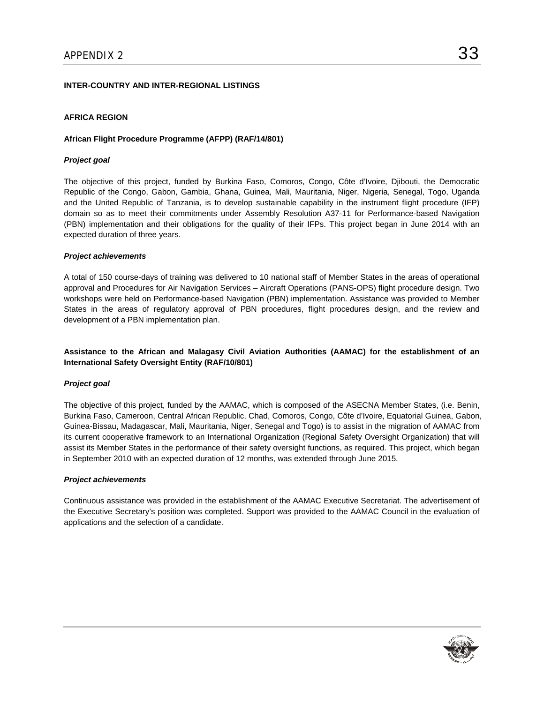# **INTER-COUNTRY AND INTER-REGIONAL LISTINGS**

### **AFRICA REGION**

#### **African Flight Procedure Programme (AFPP) (RAF/14/801)**

#### *Project goal*

The objective of this project, funded by Burkina Faso, Comoros, Congo, Côte d'Ivoire, Djibouti, the Democratic Republic of the Congo, Gabon, Gambia, Ghana, Guinea, Mali, Mauritania, Niger, Nigeria, Senegal, Togo, Uganda and the United Republic of Tanzania, is to develop sustainable capability in the instrument flight procedure (IFP) domain so as to meet their commitments under Assembly Resolution A37-11 for Performance-based Navigation (PBN) implementation and their obligations for the quality of their IFPs. This project began in June 2014 with an expected duration of three years.

#### *Project achievements*

A total of 150 course-days of training was delivered to 10 national staff of Member States in the areas of operational approval and Procedures for Air Navigation Services – Aircraft Operations (PANS-OPS) flight procedure design. Two workshops were held on Performance-based Navigation (PBN) implementation. Assistance was provided to Member States in the areas of regulatory approval of PBN procedures, flight procedures design, and the review and development of a PBN implementation plan.

# **Assistance to the African and Malagasy Civil Aviation Authorities (AAMAC) for the establishment of an International Safety Oversight Entity (RAF/10/801)**

#### *Project goal*

The objective of this project, funded by the AAMAC, which is composed of the ASECNA Member States, (i.e. Benin, Burkina Faso, Cameroon, Central African Republic, Chad, Comoros, Congo, Côte d'Ivoire, Equatorial Guinea, Gabon, Guinea-Bissau, Madagascar, Mali, Mauritania, Niger, Senegal and Togo) is to assist in the migration of AAMAC from its current cooperative framework to an International Organization (Regional Safety Oversight Organization) that will assist its Member States in the performance of their safety oversight functions, as required. This project, which began in September 2010 with an expected duration of 12 months, was extended through June 2015.

#### *Project achievements*

Continuous assistance was provided in the establishment of the AAMAC Executive Secretariat. The advertisement of the Executive Secretary's position was completed. Support was provided to the AAMAC Council in the evaluation of applications and the selection of a candidate.

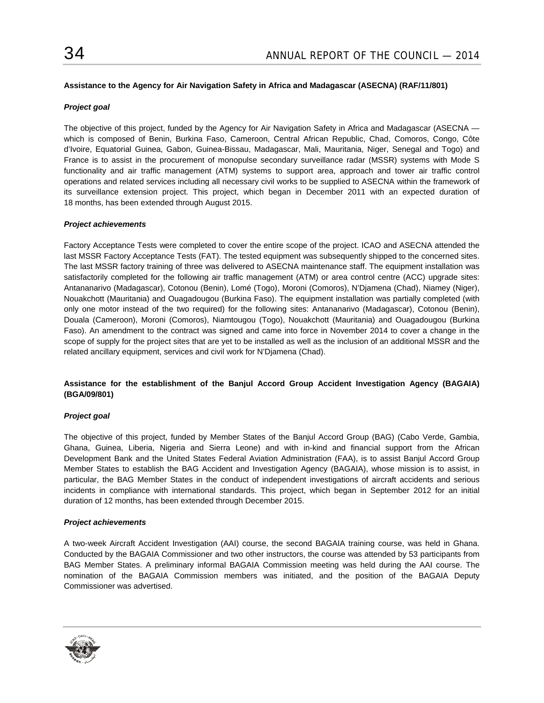# **Assistance to the Agency for Air Navigation Safety in Africa and Madagascar (ASECNA) (RAF/11/801)**

# *Project goal*

The objective of this project, funded by the Agency for Air Navigation Safety in Africa and Madagascar (ASECNA which is composed of Benin, Burkina Faso, Cameroon, Central African Republic, Chad, Comoros, Congo, Côte d'Ivoire, Equatorial Guinea, Gabon, Guinea-Bissau, Madagascar, Mali, Mauritania, Niger, Senegal and Togo) and France is to assist in the procurement of monopulse secondary surveillance radar (MSSR) systems with Mode S functionality and air traffic management (ATM) systems to support area, approach and tower air traffic control operations and related services including all necessary civil works to be supplied to ASECNA within the framework of its surveillance extension project. This project, which began in December 2011 with an expected duration of 18 months, has been extended through August 2015.

#### *Project achievements*

Factory Acceptance Tests were completed to cover the entire scope of the project. ICAO and ASECNA attended the last MSSR Factory Acceptance Tests (FAT). The tested equipment was subsequently shipped to the concerned sites. The last MSSR factory training of three was delivered to ASECNA maintenance staff. The equipment installation was satisfactorily completed for the following air traffic management (ATM) or area control centre (ACC) upgrade sites: Antananarivo (Madagascar), Cotonou (Benin), Lomé (Togo), Moroni (Comoros), N'Djamena (Chad), Niamey (Niger), Nouakchott (Mauritania) and Ouagadougou (Burkina Faso). The equipment installation was partially completed (with only one motor instead of the two required) for the following sites: Antananarivo (Madagascar), Cotonou (Benin), Douala (Cameroon), Moroni (Comoros), Niamtougou (Togo), Nouakchott (Mauritania) and Ouagadougou (Burkina Faso). An amendment to the contract was signed and came into force in November 2014 to cover a change in the scope of supply for the project sites that are yet to be installed as well as the inclusion of an additional MSSR and the related ancillary equipment, services and civil work for N'Djamena (Chad).

# **Assistance for the establishment of the Banjul Accord Group Accident Investigation Agency (BAGAIA) (BGA/09/801)**

#### *Project goal*

The objective of this project, funded by Member States of the Banjul Accord Group (BAG) (Cabo Verde, Gambia, Ghana, Guinea, Liberia, Nigeria and Sierra Leone) and with in-kind and financial support from the African Development Bank and the United States Federal Aviation Administration (FAA), is to assist Banjul Accord Group Member States to establish the BAG Accident and Investigation Agency (BAGAIA), whose mission is to assist, in particular, the BAG Member States in the conduct of independent investigations of aircraft accidents and serious incidents in compliance with international standards. This project, which began in September 2012 for an initial duration of 12 months, has been extended through December 2015.

# *Project achievements*

A two-week Aircraft Accident Investigation (AAI) course, the second BAGAIA training course, was held in Ghana. Conducted by the BAGAIA Commissioner and two other instructors, the course was attended by 53 participants from BAG Member States. A preliminary informal BAGAIA Commission meeting was held during the AAI course. The nomination of the BAGAIA Commission members was initiated, and the position of the BAGAIA Deputy Commissioner was advertised.

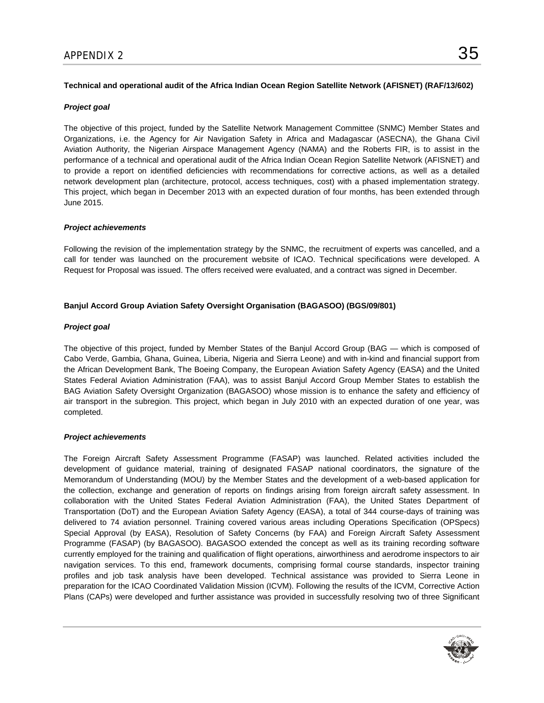# **Technical and operational audit of the Africa Indian Ocean Region Satellite Network (AFISNET) (RAF/13/602)**

# *Project goal*

The objective of this project, funded by the Satellite Network Management Committee (SNMC) Member States and Organizations, i.e. the Agency for Air Navigation Safety in Africa and Madagascar (ASECNA), the Ghana Civil Aviation Authority, the Nigerian Airspace Management Agency (NAMA) and the Roberts FIR, is to assist in the performance of a technical and operational audit of the Africa Indian Ocean Region Satellite Network (AFISNET) and to provide a report on identified deficiencies with recommendations for corrective actions, as well as a detailed network development plan (architecture, protocol, access techniques, cost) with a phased implementation strategy. This project, which began in December 2013 with an expected duration of four months, has been extended through June 2015.

# *Project achievements*

Following the revision of the implementation strategy by the SNMC, the recruitment of experts was cancelled, and a call for tender was launched on the procurement website of ICAO. Technical specifications were developed. A Request for Proposal was issued. The offers received were evaluated, and a contract was signed in December.

# **Banjul Accord Group Aviation Safety Oversight Organisation (BAGASOO) (BGS/09/801)**

# *Project goal*

The objective of this project, funded by Member States of the Banjul Accord Group (BAG — which is composed of Cabo Verde, Gambia, Ghana, Guinea, Liberia, Nigeria and Sierra Leone) and with in-kind and financial support from the African Development Bank, The Boeing Company, the European Aviation Safety Agency (EASA) and the United States Federal Aviation Administration (FAA), was to assist Banjul Accord Group Member States to establish the BAG Aviation Safety Oversight Organization (BAGASOO) whose mission is to enhance the safety and efficiency of air transport in the subregion. This project, which began in July 2010 with an expected duration of one year, was completed.

# *Project achievements*

The Foreign Aircraft Safety Assessment Programme (FASAP) was launched. Related activities included the development of guidance material, training of designated FASAP national coordinators, the signature of the Memorandum of Understanding (MOU) by the Member States and the development of a web-based application for the collection, exchange and generation of reports on findings arising from foreign aircraft safety assessment. In collaboration with the United States Federal Aviation Administration (FAA), the United States Department of Transportation (DoT) and the European Aviation Safety Agency (EASA), a total of 344 course-days of training was delivered to 74 aviation personnel. Training covered various areas including Operations Specification (OPSpecs) Special Approval (by EASA), Resolution of Safety Concerns (by FAA) and Foreign Aircraft Safety Assessment Programme (FASAP) (by BAGASOO). BAGASOO extended the concept as well as its training recording software currently employed for the training and qualification of flight operations, airworthiness and aerodrome inspectors to air navigation services. To this end, framework documents, comprising formal course standards, inspector training profiles and job task analysis have been developed. Technical assistance was provided to Sierra Leone in preparation for the ICAO Coordinated Validation Mission (ICVM). Following the results of the ICVM, Corrective Action Plans (CAPs) were developed and further assistance was provided in successfully resolving two of three Significant

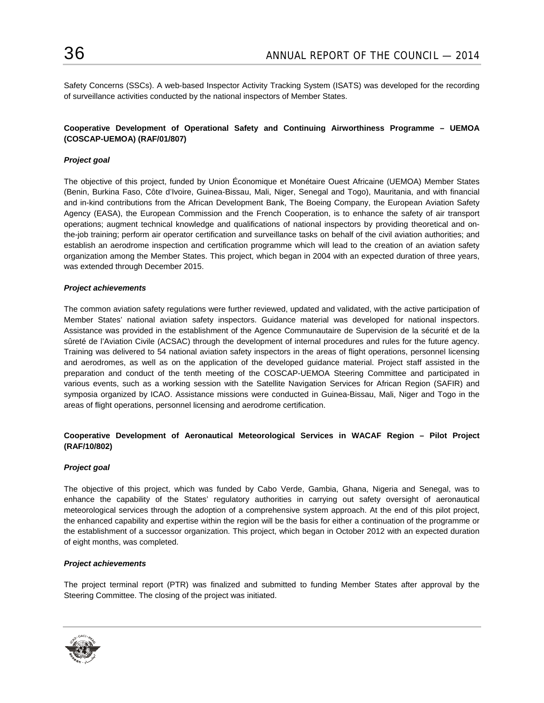Safety Concerns (SSCs). A web-based Inspector Activity Tracking System (ISATS) was developed for the recording of surveillance activities conducted by the national inspectors of Member States.

# **Cooperative Development of Operational Safety and Continuing Airworthiness Programme – UEMOA (COSCAP-UEMOA) (RAF/01/807)**

# *Project goal*

The objective of this project, funded by Union Économique et Monétaire Ouest Africaine (UEMOA) Member States (Benin, Burkina Faso, Côte d'Ivoire, Guinea-Bissau, Mali, Niger, Senegal and Togo), Mauritania, and with financial and in-kind contributions from the African Development Bank, The Boeing Company, the European Aviation Safety Agency (EASA), the European Commission and the French Cooperation, is to enhance the safety of air transport operations; augment technical knowledge and qualifications of national inspectors by providing theoretical and onthe-job training; perform air operator certification and surveillance tasks on behalf of the civil aviation authorities; and establish an aerodrome inspection and certification programme which will lead to the creation of an aviation safety organization among the Member States. This project, which began in 2004 with an expected duration of three years, was extended through December 2015.

#### *Project achievements*

The common aviation safety regulations were further reviewed, updated and validated, with the active participation of Member States' national aviation safety inspectors. Guidance material was developed for national inspectors. Assistance was provided in the establishment of the Agence Communautaire de Supervision de la sécurité et de la sûreté de l'Aviation Civile (ACSAC) through the development of internal procedures and rules for the future agency. Training was delivered to 54 national aviation safety inspectors in the areas of flight operations, personnel licensing and aerodromes, as well as on the application of the developed guidance material. Project staff assisted in the preparation and conduct of the tenth meeting of the COSCAP-UEMOA Steering Committee and participated in various events, such as a working session with the Satellite Navigation Services for African Region (SAFIR) and symposia organized by ICAO. Assistance missions were conducted in Guinea-Bissau, Mali, Niger and Togo in the areas of flight operations, personnel licensing and aerodrome certification.

# **Cooperative Development of Aeronautical Meteorological Services in WACAF Region – Pilot Project (RAF/10/802)**

#### *Project goal*

The objective of this project, which was funded by Cabo Verde, Gambia, Ghana, Nigeria and Senegal, was to enhance the capability of the States' regulatory authorities in carrying out safety oversight of aeronautical meteorological services through the adoption of a comprehensive system approach. At the end of this pilot project, the enhanced capability and expertise within the region will be the basis for either a continuation of the programme or the establishment of a successor organization. This project, which began in October 2012 with an expected duration of eight months, was completed.

#### *Project achievements*

The project terminal report (PTR) was finalized and submitted to funding Member States after approval by the Steering Committee. The closing of the project was initiated.

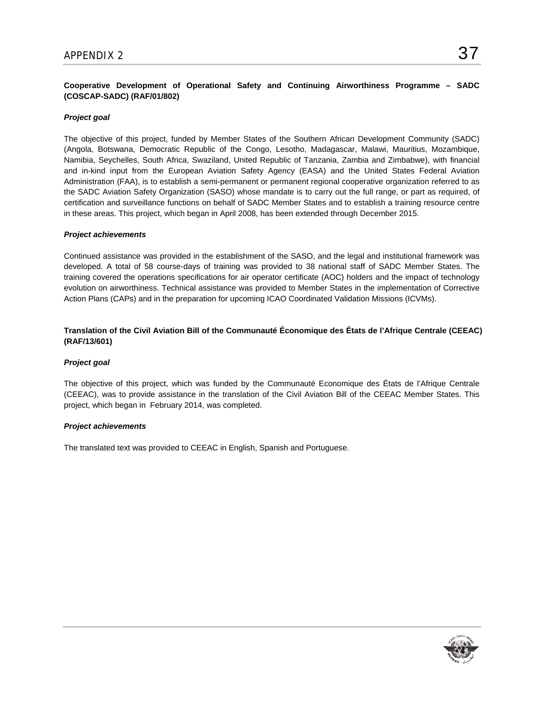# **Cooperative Development of Operational Safety and Continuing Airworthiness Programme – SADC (COSCAP-SADC) (RAF/01/802)**

# *Project goal*

The objective of this project, funded by Member States of the Southern African Development Community (SADC) (Angola, Botswana, Democratic Republic of the Congo, Lesotho, Madagascar, Malawi, Mauritius, Mozambique, Namibia, Seychelles, South Africa, Swaziland, United Republic of Tanzania, Zambia and Zimbabwe), with financial and in-kind input from the European Aviation Safety Agency (EASA) and the United States Federal Aviation Administration (FAA), is to establish a semi-permanent or permanent regional cooperative organization referred to as the SADC Aviation Safety Organization (SASO) whose mandate is to carry out the full range, or part as required, of certification and surveillance functions on behalf of SADC Member States and to establish a training resource centre in these areas. This project, which began in April 2008, has been extended through December 2015.

#### *Project achievements*

Continued assistance was provided in the establishment of the SASO, and the legal and institutional framework was developed. A total of 58 course-days of training was provided to 38 national staff of SADC Member States. The training covered the operations specifications for air operator certificate (AOC) holders and the impact of technology evolution on airworthiness. Technical assistance was provided to Member States in the implementation of Corrective Action Plans (CAPs) and in the preparation for upcoming ICAO Coordinated Validation Missions (ICVMs).

# **Translation of the Civil Aviation Bill of the Communauté Économique des États de l'Afrique Centrale (CEEAC) (RAF/13/601)**

#### *Project goal*

The objective of this project, which was funded by the Communauté Economique des États de l'Afrique Centrale (CEEAC), was to provide assistance in the translation of the Civil Aviation Bill of the CEEAC Member States. This project, which began in February 2014, was completed.

#### *Project achievements*

The translated text was provided to CEEAC in English, Spanish and Portuguese.

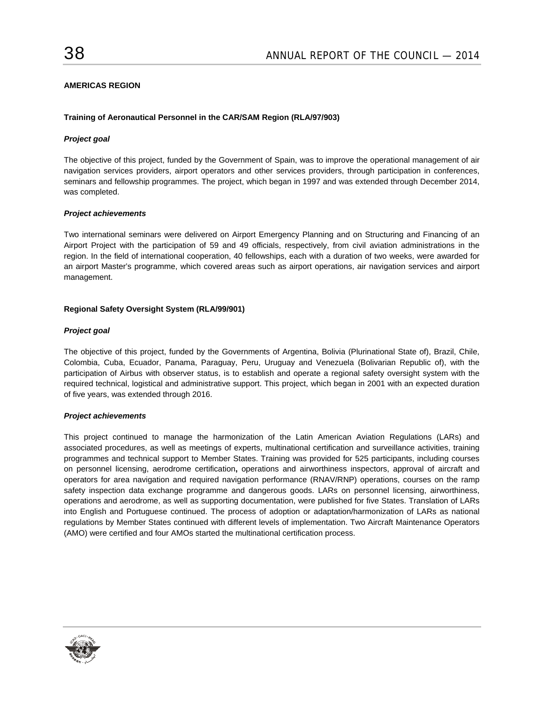# **AMERICAS REGION**

### **Training of Aeronautical Personnel in the CAR/SAM Region (RLA/97/903)**

### *Project goal*

The objective of this project, funded by the Government of Spain, was to improve the operational management of air navigation services providers, airport operators and other services providers, through participation in conferences, seminars and fellowship programmes. The project, which began in 1997 and was extended through December 2014, was completed.

#### *Project achievements*

Two international seminars were delivered on Airport Emergency Planning and on Structuring and Financing of an Airport Project with the participation of 59 and 49 officials, respectively, from civil aviation administrations in the region. In the field of international cooperation, 40 fellowships, each with a duration of two weeks, were awarded for an airport Master's programme, which covered areas such as airport operations, air navigation services and airport management.

#### **Regional Safety Oversight System (RLA/99/901)**

#### *Project goal*

The objective of this project, funded by the Governments of Argentina, Bolivia (Plurinational State of), Brazil, Chile, Colombia, Cuba, Ecuador, Panama, Paraguay, Peru, Uruguay and Venezuela (Bolivarian Republic of), with the participation of Airbus with observer status, is to establish and operate a regional safety oversight system with the required technical, logistical and administrative support. This project, which began in 2001 with an expected duration of five years, was extended through 2016.

#### *Project achievements*

This project continued to manage the harmonization of the Latin American Aviation Regulations (LARs) and associated procedures, as well as meetings of experts, multinational certification and surveillance activities, training programmes and technical support to Member States. Training was provided for 525 participants, including courses on personnel licensing, aerodrome certification**,** operations and airworthiness inspectors, approval of aircraft and operators for area navigation and required navigation performance (RNAV/RNP) operations, courses on the ramp safety inspection data exchange programme and dangerous goods. LARs on personnel licensing, airworthiness, operations and aerodrome, as well as supporting documentation, were published for five States. Translation of LARs into English and Portuguese continued. The process of adoption or adaptation/harmonization of LARs as national regulations by Member States continued with different levels of implementation. Two Aircraft Maintenance Operators (AMO) were certified and four AMOs started the multinational certification process.

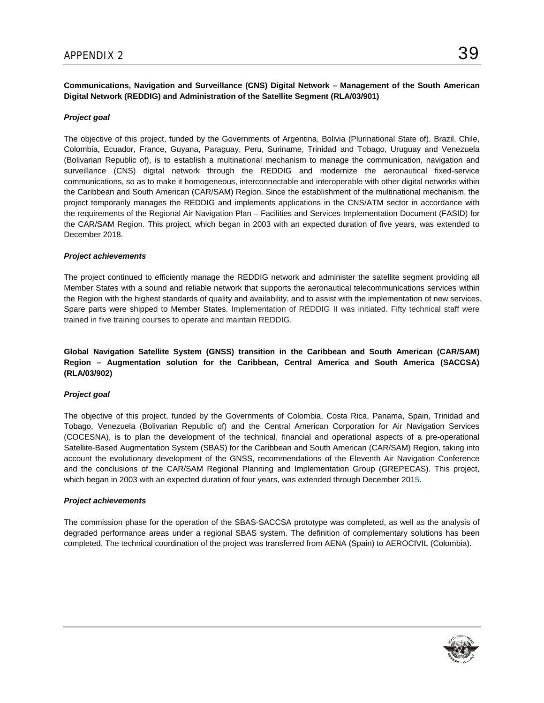**Communications, Navigation and Surveillance (CNS) Digital Network – Management of the South American Digital Network (REDDIG) and Administration of the Satellite Segment (RLA/03/901)**

# *Project goal*

The objective of this project, funded by the Governments of Argentina, Bolivia (Plurinational State of), Brazil, Chile, Colombia, Ecuador, France, Guyana, Paraguay, Peru, Suriname, Trinidad and Tobago, Uruguay and Venezuela (Bolivarian Republic of), is to establish a multinational mechanism to manage the communication, navigation and surveillance (CNS) digital network through the REDDIG and modernize the aeronautical fixed-service communications, so as to make it homogeneous, interconnectable and interoperable with other digital networks within the Caribbean and South American (CAR/SAM) Region. Since the establishment of the multinational mechanism, the project temporarily manages the REDDIG and implements applications in the CNS/ATM sector in accordance with the requirements of the Regional Air Navigation Plan – Facilities and Services Implementation Document (FASID) for the CAR/SAM Region. This project, which began in 2003 with an expected duration of five years, was extended to December 2018.

#### *Project achievements*

The project continued to efficiently manage the REDDIG network and administer the satellite segment providing all Member States with a sound and reliable network that supports the aeronautical telecommunications services within the Region with the highest standards of quality and availability, and to assist with the implementation of new services. Spare parts were shipped to Member States. Implementation of REDDIG II was initiated. Fifty technical staff were trained in five training courses to operate and maintain REDDIG.

# **Global Navigation Satellite System (GNSS) transition in the Caribbean and South American (CAR/SAM) Region – Augmentation solution for the Caribbean, Central America and South America (SACCSA) (RLA/03/902)**

#### *Project goal*

The objective of this project, funded by the Governments of Colombia, Costa Rica, Panama, Spain, Trinidad and Tobago, Venezuela (Bolivarian Republic of) and the Central American Corporation for Air Navigation Services (COCESNA), is to plan the development of the technical, financial and operational aspects of a pre-operational Satellite-Based Augmentation System (SBAS) for the Caribbean and South American (CAR/SAM) Region, taking into account the evolutionary development of the GNSS, recommendations of the Eleventh Air Navigation Conference and the conclusions of the CAR/SAM Regional Planning and Implementation Group (GREPECAS). This project, which began in 2003 with an expected duration of four years, was extended through December 2015.

#### *Project achievements*

The commission phase for the operation of the SBAS-SACCSA prototype was completed, as well as the analysis of degraded performance areas under a regional SBAS system. The definition of complementary solutions has been completed. The technical coordination of the project was transferred from AENA (Spain) to AEROCIVIL (Colombia).

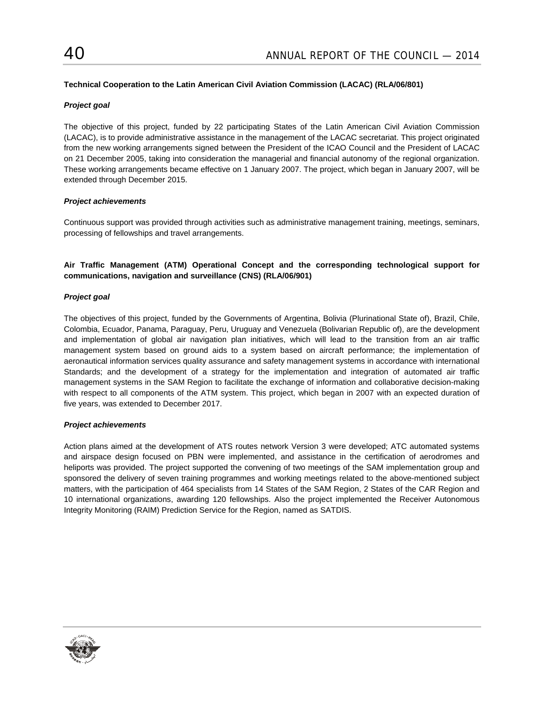# **Technical Cooperation to the Latin American Civil Aviation Commission (LACAC) (RLA/06/801)**

# *Project goal*

The objective of this project, funded by 22 participating States of the Latin American Civil Aviation Commission (LACAC), is to provide administrative assistance in the management of the LACAC secretariat. This project originated from the new working arrangements signed between the President of the ICAO Council and the President of LACAC on 21 December 2005, taking into consideration the managerial and financial autonomy of the regional organization. These working arrangements became effective on 1 January 2007. The project, which began in January 2007, will be extended through December 2015.

# *Project achievements*

Continuous support was provided through activities such as administrative management training, meetings, seminars, processing of fellowships and travel arrangements.

# **Air Traffic Management (ATM) Operational Concept and the corresponding technological support for communications, navigation and surveillance (CNS) (RLA/06/901)**

# *Project goal*

The objectives of this project, funded by the Governments of Argentina, Bolivia (Plurinational State of), Brazil, Chile, Colombia, Ecuador, Panama, Paraguay, Peru, Uruguay and Venezuela (Bolivarian Republic of), are the development and implementation of global air navigation plan initiatives, which will lead to the transition from an air traffic management system based on ground aids to a system based on aircraft performance; the implementation of aeronautical information services quality assurance and safety management systems in accordance with international Standards; and the development of a strategy for the implementation and integration of automated air traffic management systems in the SAM Region to facilitate the exchange of information and collaborative decision-making with respect to all components of the ATM system. This project, which began in 2007 with an expected duration of five years, was extended to December 2017.

# *Project achievements*

Action plans aimed at the development of ATS routes network Version 3 were developed; ATC automated systems and airspace design focused on PBN were implemented, and assistance in the certification of aerodromes and heliports was provided. The project supported the convening of two meetings of the SAM implementation group and sponsored the delivery of seven training programmes and working meetings related to the above-mentioned subject matters, with the participation of 464 specialists from 14 States of the SAM Region, 2 States of the CAR Region and 10 international organizations, awarding 120 fellowships. Also the project implemented the Receiver Autonomous Integrity Monitoring (RAIM) Prediction Service for the Region, named as SATDIS.

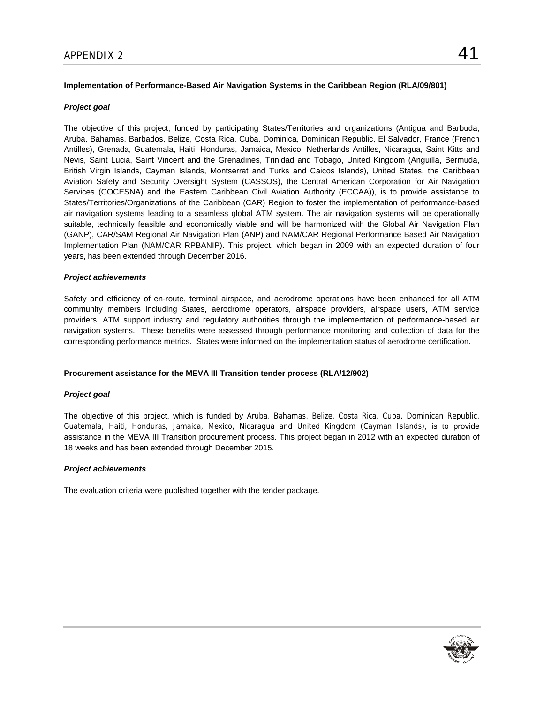# **Implementation of Performance-Based Air Navigation Systems in the Caribbean Region (RLA/09/801)**

#### *Project goal*

The objective of this project, funded by participating States/Territories and organizations (Antigua and Barbuda, Aruba, Bahamas, Barbados, Belize, Costa Rica, Cuba, Dominica, Dominican Republic, El Salvador, France (French Antilles), Grenada, Guatemala, Haiti, Honduras, Jamaica, Mexico, Netherlands Antilles, Nicaragua, Saint Kitts and Nevis, Saint Lucia, Saint Vincent and the Grenadines, Trinidad and Tobago, United Kingdom (Anguilla, Bermuda, British Virgin Islands, Cayman Islands, Montserrat and Turks and Caicos Islands), United States, the Caribbean Aviation Safety and Security Oversight System (CASSOS), the Central American Corporation for Air Navigation Services (COCESNA) and the Eastern Caribbean Civil Aviation Authority (ECCAA)), is to provide assistance to States/Territories/Organizations of the Caribbean (CAR) Region to foster the implementation of performance-based air navigation systems leading to a seamless global ATM system. The air navigation systems will be operationally suitable, technically feasible and economically viable and will be harmonized with the Global Air Navigation Plan (GANP), CAR/SAM Regional Air Navigation Plan (ANP) and NAM/CAR Regional Performance Based Air Navigation Implementation Plan (NAM/CAR RPBANIP). This project, which began in 2009 with an expected duration of four years, has been extended through December 2016.

#### *Project achievements*

Safety and efficiency of en-route, terminal airspace, and aerodrome operations have been enhanced for all ATM community members including States, aerodrome operators, airspace providers, airspace users, ATM service providers, ATM support industry and regulatory authorities through the implementation of performance-based air navigation systems. These benefits were assessed through performance monitoring and collection of data for the corresponding performance metrics. States were informed on the implementation status of aerodrome certification.

#### **Procurement assistance for the MEVA III Transition tender process (RLA/12/902)**

#### *Project goal*

The objective of this project, which is funded by Aruba, Bahamas, Belize, Costa Rica, Cuba, Dominican Republic, Guatemala, Haiti, Honduras, Jamaica, Mexico, Nicaragua and United Kingdom (Cayman Islands), is to provide assistance in the MEVA III Transition procurement process. This project began in 2012 with an expected duration of 18 weeks and has been extended through December 2015.

#### *Project achievements*

The evaluation criteria were published together with the tender package.

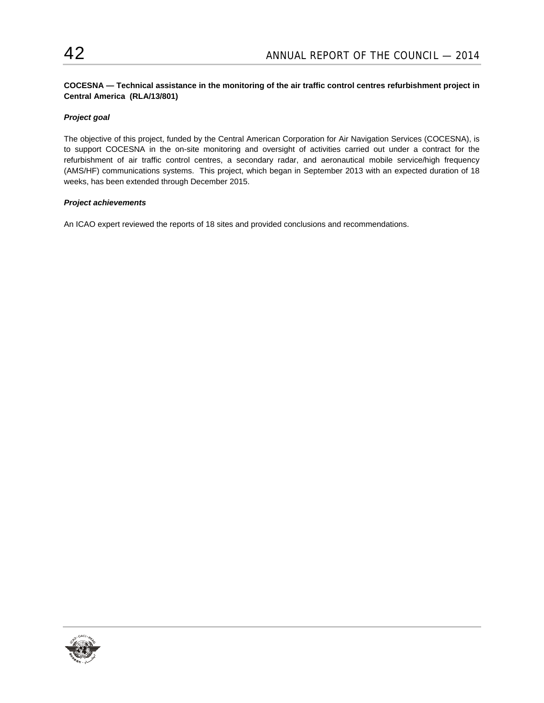# **COCESNA — Technical assistance in the monitoring of the air traffic control centres refurbishment project in Central America (RLA/13/801)**

# *Project goal*

The objective of this project, funded by the Central American Corporation for Air Navigation Services (COCESNA), is to support COCESNA in the on-site monitoring and oversight of activities carried out under a contract for the refurbishment of air traffic control centres, a secondary radar, and aeronautical mobile service/high frequency (AMS/HF) communications systems. This project, which began in September 2013 with an expected duration of 18 weeks, has been extended through December 2015.

# *Project achievements*

An ICAO expert reviewed the reports of 18 sites and provided conclusions and recommendations.

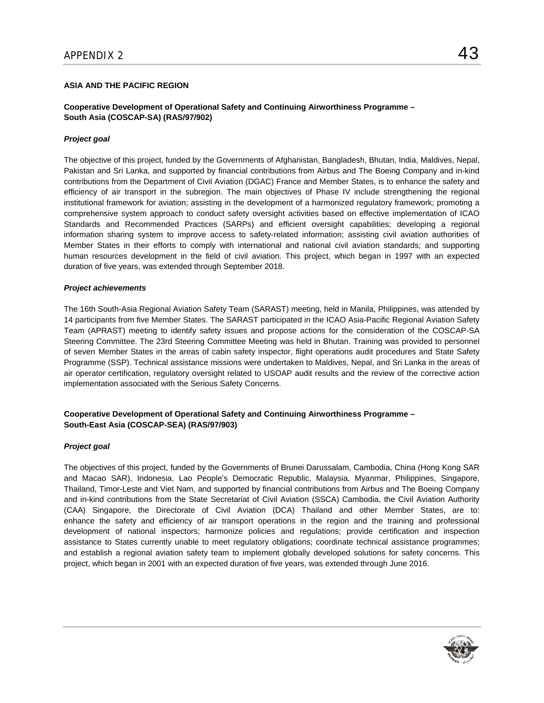# **ASIA AND THE PACIFIC REGION**

# **Cooperative Development of Operational Safety and Continuing Airworthiness Programme – South Asia (COSCAP-SA) (RAS/97/902)**

# *Project goal*

The objective of this project, funded by the Governments of Afghanistan, Bangladesh, Bhutan, India, Maldives, Nepal, Pakistan and Sri Lanka, and supported by financial contributions from Airbus and The Boeing Company and in-kind contributions from the Department of Civil Aviation (DGAC) France and Member States, is to enhance the safety and efficiency of air transport in the subregion. The main objectives of Phase IV include strengthening the regional institutional framework for aviation; assisting in the development of a harmonized regulatory framework; promoting a comprehensive system approach to conduct safety oversight activities based on effective implementation of ICAO Standards and Recommended Practices (SARPs) and efficient oversight capabilities; developing a regional information sharing system to improve access to safety-related information; assisting civil aviation authorities of Member States in their efforts to comply with international and national civil aviation standards; and supporting human resources development in the field of civil aviation. This project, which began in 1997 with an expected duration of five years, was extended through September 2018.

#### *Project achievements*

The 16th South-Asia Regional Aviation Safety Team (SARAST) meeting, held in Manila, Philippines, was attended by 14 participants from five Member States. The SARAST participated in the ICAO Asia-Pacific Regional Aviation Safety Team (APRAST) meeting to identify safety issues and propose actions for the consideration of the COSCAP-SA Steering Committee. The 23rd Steering Committee Meeting was held in Bhutan. Training was provided to personnel of seven Member States in the areas of cabin safety inspector, flight operations audit procedures and State Safety Programme (SSP). Technical assistance missions were undertaken to Maldives, Nepal, and Sri Lanka in the areas of air operator certification, regulatory oversight related to USOAP audit results and the review of the corrective action implementation associated with the Serious Safety Concerns.

# **Cooperative Development of Operational Safety and Continuing Airworthiness Programme – South-East Asia (COSCAP-SEA) (RAS/97/903)**

#### *Project goal*

The objectives of this project, funded by the Governments of Brunei Darussalam, Cambodia, China (Hong Kong SAR and Macao SAR), Indonesia, Lao People's Democratic Republic, Malaysia, Myanmar, Philippines, Singapore, Thailand, Timor-Leste and Viet Nam, and supported by financial contributions from Airbus and The Boeing Company and in-kind contributions from the State Secretariat of Civil Aviation (SSCA) Cambodia, the Civil Aviation Authority (CAA) Singapore, the Directorate of Civil Aviation (DCA) Thailand and other Member States, are to: enhance the safety and efficiency of air transport operations in the region and the training and professional development of national inspectors; harmonize policies and regulations; provide certification and inspection assistance to States currently unable to meet regulatory obligations; coordinate technical assistance programmes; and establish a regional aviation safety team to implement globally developed solutions for safety concerns. This project, which began in 2001 with an expected duration of five years, was extended through June 2016.

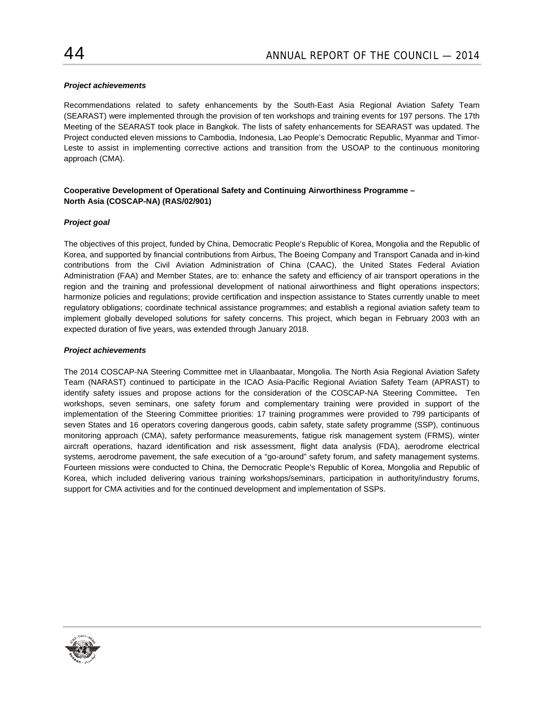# *Project achievements*

Recommendations related to safety enhancements by the South-East Asia Regional Aviation Safety Team (SEARAST) were implemented through the provision of ten workshops and training events for 197 persons. The 17th Meeting of the SEARAST took place in Bangkok. The lists of safety enhancements for SEARAST was updated. The Project conducted eleven missions to Cambodia, Indonesia, Lao People's Democratic Republic, Myanmar and Timor-Leste to assist in implementing corrective actions and transition from the USOAP to the continuous monitoring approach (CMA).

# **Cooperative Development of Operational Safety and Continuing Airworthiness Programme – North Asia (COSCAP-NA) (RAS/02/901)**

# *Project goal*

The objectives of this project, funded by China, Democratic People's Republic of Korea, Mongolia and the Republic of Korea, and supported by financial contributions from Airbus, The Boeing Company and Transport Canada and in-kind contributions from the Civil Aviation Administration of China (CAAC), the United States Federal Aviation Administration (FAA) and Member States, are to: enhance the safety and efficiency of air transport operations in the region and the training and professional development of national airworthiness and flight operations inspectors; harmonize policies and regulations; provide certification and inspection assistance to States currently unable to meet regulatory obligations; coordinate technical assistance programmes; and establish a regional aviation safety team to implement globally developed solutions for safety concerns. This project, which began in February 2003 with an expected duration of five years, was extended through January 2018.

### *Project achievements*

The 2014 COSCAP-NA Steering Committee met in Ulaanbaatar, Mongolia. The North Asia Regional Aviation Safety Team (NARAST) continued to participate in the ICAO Asia-Pacific Regional Aviation Safety Team (APRAST) to identify safety issues and propose actions for the consideration of the COSCAP-NA Steering Committee**.** Ten workshops, seven seminars, one safety forum and complementary training were provided in support of the implementation of the Steering Committee priorities: 17 training programmes were provided to 799 participants of seven States and 16 operators covering dangerous goods, cabin safety, state safety programme (SSP), continuous monitoring approach (CMA), safety performance measurements, fatigue risk management system (FRMS), winter aircraft operations, hazard identification and risk assessment, flight data analysis (FDA), aerodrome electrical systems, aerodrome pavement, the safe execution of a "go-around" safety forum, and safety management systems. Fourteen missions were conducted to China, the Democratic People's Republic of Korea, Mongolia and Republic of Korea, which included delivering various training workshops/seminars, participation in authority/industry forums, support for CMA activities and for the continued development and implementation of SSPs.

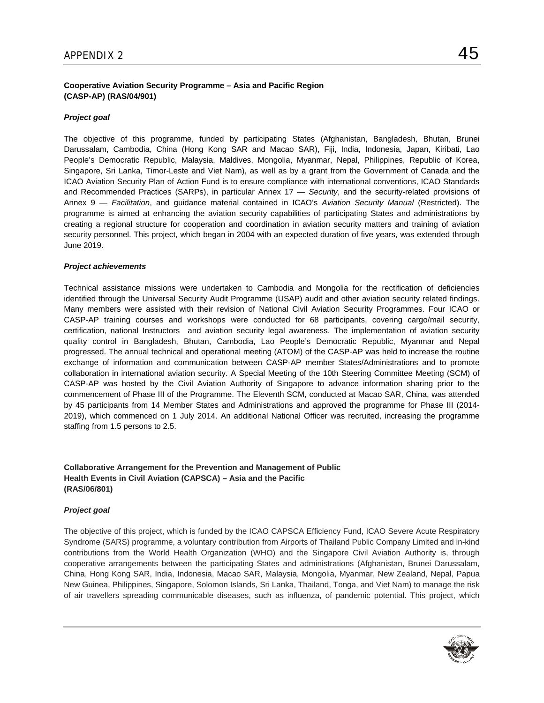# **Cooperative Aviation Security Programme – Asia and Pacific Region (CASP-AP) (RAS/04/901)**

# *Project goal*

The objective of this programme, funded by participating States (Afghanistan, Bangladesh, Bhutan, Brunei Darussalam, Cambodia, China (Hong Kong SAR and Macao SAR), Fiji, India, Indonesia, Japan, Kiribati, Lao People's Democratic Republic, Malaysia, Maldives, Mongolia, Myanmar, Nepal, Philippines, Republic of Korea, Singapore, Sri Lanka, Timor-Leste and Viet Nam), as well as by a grant from the Government of Canada and the ICAO Aviation Security Plan of Action Fund is to ensure compliance with international conventions, ICAO Standards and Recommended Practices (SARPs), in particular Annex 17 — *Security*, and the security-related provisions of Annex 9 — *Facilitation*, and guidance material contained in ICAO's *Aviation Security Manual* (Restricted). The programme is aimed at enhancing the aviation security capabilities of participating States and administrations by creating a regional structure for cooperation and coordination in aviation security matters and training of aviation security personnel. This project, which began in 2004 with an expected duration of five years, was extended through June 2019.

#### *Project achievements*

Technical assistance missions were undertaken to Cambodia and Mongolia for the rectification of deficiencies identified through the Universal Security Audit Programme (USAP) audit and other aviation security related findings. Many members were assisted with their revision of National Civil Aviation Security Programmes. Four ICAO or CASP-AP training courses and workshops were conducted for 68 participants, covering cargo/mail security, certification, national Instructors and aviation security legal awareness. The implementation of aviation security quality control in Bangladesh, Bhutan, Cambodia, Lao People's Democratic Republic, Myanmar and Nepal progressed. The annual technical and operational meeting (ATOM) of the CASP-AP was held to increase the routine exchange of information and communication between CASP-AP member States/Administrations and to promote collaboration in international aviation security. A Special Meeting of the 10th Steering Committee Meeting (SCM) of CASP-AP was hosted by the Civil Aviation Authority of Singapore to advance information sharing prior to the commencement of Phase III of the Programme. The Eleventh SCM, conducted at Macao SAR, China, was attended by 45 participants from 14 Member States and Administrations and approved the programme for Phase III (2014- 2019), which commenced on 1 July 2014. An additional National Officer was recruited, increasing the programme staffing from 1.5 persons to 2.5.

# **Collaborative Arrangement for the Prevention and Management of Public Health Events in Civil Aviation (CAPSCA) – Asia and the Pacific (RAS/06/801)**

#### *Project goal*

The objective of this project, which is funded by the ICAO CAPSCA Efficiency Fund, ICAO Severe Acute Respiratory Syndrome (SARS) programme, a voluntary contribution from Airports of Thailand Public Company Limited and in-kind contributions from the World Health Organization (WHO) and the Singapore Civil Aviation Authority is, through cooperative arrangements between the participating States and administrations (Afghanistan, Brunei Darussalam, China, Hong Kong SAR, India, Indonesia, Macao SAR, Malaysia, Mongolia, Myanmar, New Zealand, Nepal, Papua New Guinea, Philippines, Singapore, Solomon Islands, Sri Lanka, Thailand, Tonga, and Viet Nam) to manage the risk of air travellers spreading communicable diseases, such as influenza, of pandemic potential. This project, which

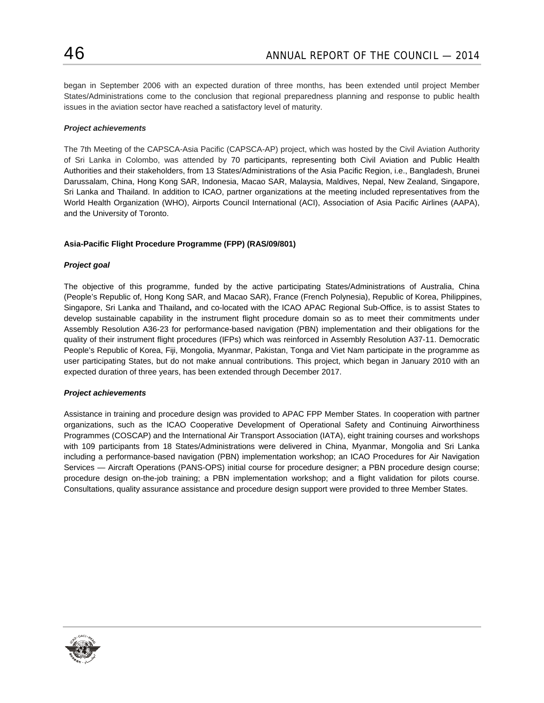began in September 2006 with an expected duration of three months, has been extended until project Member States/Administrations come to the conclusion that regional preparedness planning and response to public health issues in the aviation sector have reached a satisfactory level of maturity.

# *Project achievements*

The 7th Meeting of the CAPSCA-Asia Pacific (CAPSCA-AP) project, which was hosted by the Civil Aviation Authority of Sri Lanka in Colombo, was attended by 70 participants, representing both Civil Aviation and Public Health Authorities and their stakeholders, from 13 States/Administrations of the Asia Pacific Region, i.e., Bangladesh, Brunei Darussalam, China, Hong Kong SAR, Indonesia, Macao SAR, Malaysia, Maldives, Nepal, New Zealand, Singapore, Sri Lanka and Thailand. In addition to ICAO, partner organizations at the meeting included representatives from the World Health Organization (WHO), Airports Council International (ACI), Association of Asia Pacific Airlines (AAPA), and the University of Toronto.

# **Asia-Pacific Flight Procedure Programme (FPP) (RAS/09/801)**

# *Project goal*

The objective of this programme, funded by the active participating States/Administrations of Australia, China (People's Republic of, Hong Kong SAR, and Macao SAR), France (French Polynesia), Republic of Korea, Philippines, Singapore, Sri Lanka and Thailand**,** and co-located with the ICAO APAC Regional Sub-Office, is to assist States to develop sustainable capability in the instrument flight procedure domain so as to meet their commitments under Assembly Resolution A36-23 for performance-based navigation (PBN) implementation and their obligations for the quality of their instrument flight procedures (IFPs) which was reinforced in Assembly Resolution A37-11. Democratic People's Republic of Korea, Fiji, Mongolia, Myanmar, Pakistan, Tonga and Viet Nam participate in the programme as user participating States, but do not make annual contributions. This project, which began in January 2010 with an expected duration of three years, has been extended through December 2017.

#### *Project achievements*

Assistance in training and procedure design was provided to APAC FPP Member States. In cooperation with partner organizations, such as the ICAO Cooperative Development of Operational Safety and Continuing Airworthiness Programmes (COSCAP) and the International Air Transport Association (IATA), eight training courses and workshops with 109 participants from 18 States/Administrations were delivered in China, Myanmar, Mongolia and Sri Lanka including a performance-based navigation (PBN) implementation workshop; an ICAO Procedures for Air Navigation Services — Aircraft Operations (PANS-OPS) initial course for procedure designer; a PBN procedure design course; procedure design on-the-job training; a PBN implementation workshop; and a flight validation for pilots course. Consultations, quality assurance assistance and procedure design support were provided to three Member States.

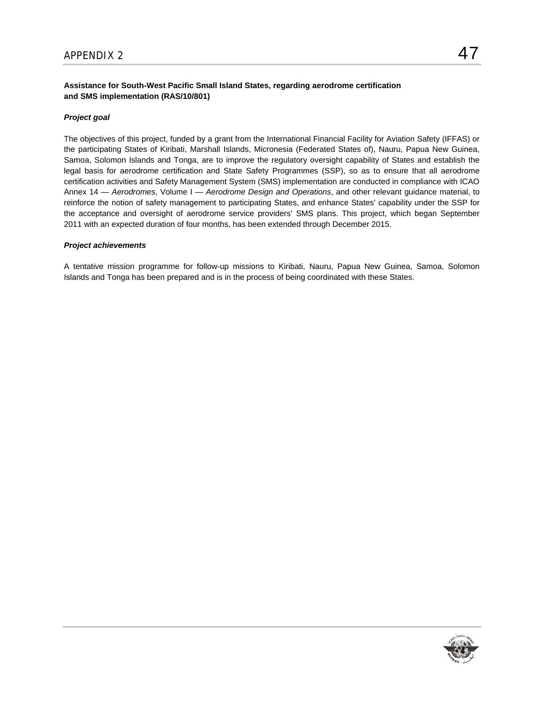# **Assistance for South-West Pacific Small Island States, regarding aerodrome certification and SMS implementation (RAS/10/801)**

# *Project goal*

The objectives of this project, funded by a grant from the International Financial Facility for Aviation Safety (IFFAS) or the participating States of Kiribati, Marshall Islands, Micronesia (Federated States of), Nauru, Papua New Guinea, Samoa, Solomon Islands and Tonga, are to improve the regulatory oversight capability of States and establish the legal basis for aerodrome certification and State Safety Programmes (SSP), so as to ensure that all aerodrome certification activities and Safety Management System (SMS) implementation are conducted in compliance with ICAO Annex 14 — *Aerodromes*, Volume I — *Aerodrome Design and Operations*, and other relevant guidance material, to reinforce the notion of safety management to participating States, and enhance States' capability under the SSP for the acceptance and oversight of aerodrome service providers' SMS plans. This project, which began September 2011 with an expected duration of four months, has been extended through December 2015.

#### *Project achievements*

A tentative mission programme for follow-up missions to Kiribati, Nauru, Papua New Guinea, Samoa, Solomon Islands and Tonga has been prepared and is in the process of being coordinated with these States.

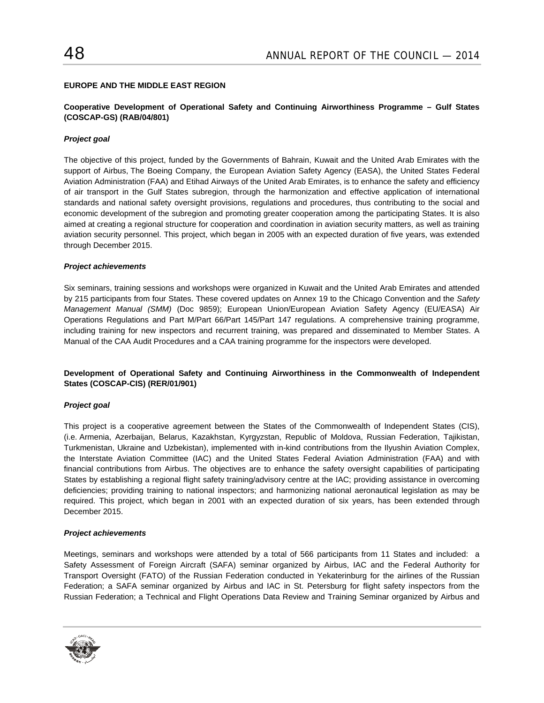# **EUROPE AND THE MIDDLE EAST REGION**

# **Cooperative Development of Operational Safety and Continuing Airworthiness Programme – Gulf States (COSCAP-GS) (RAB/04/801)**

# *Project goal*

The objective of this project, funded by the Governments of Bahrain, Kuwait and the United Arab Emirates with the support of Airbus, The Boeing Company, the European Aviation Safety Agency (EASA), the United States Federal Aviation Administration (FAA) and Etihad Airways of the United Arab Emirates, is to enhance the safety and efficiency of air transport in the Gulf States subregion, through the harmonization and effective application of international standards and national safety oversight provisions, regulations and procedures, thus contributing to the social and economic development of the subregion and promoting greater cooperation among the participating States. It is also aimed at creating a regional structure for cooperation and coordination in aviation security matters, as well as training aviation security personnel. This project, which began in 2005 with an expected duration of five years, was extended through December 2015.

#### *Project achievements*

Six seminars, training sessions and workshops were organized in Kuwait and the United Arab Emirates and attended by 215 participants from four States. These covered updates on Annex 19 to the Chicago Convention and the *Safety Management Manual (SMM)* (Doc 9859); European Union/European Aviation Safety Agency (EU/EASA) Air Operations Regulations and Part M/Part 66/Part 145/Part 147 regulations. A comprehensive training programme, including training for new inspectors and recurrent training, was prepared and disseminated to Member States. A Manual of the CAA Audit Procedures and a CAA training programme for the inspectors were developed.

# **Development of Operational Safety and Continuing Airworthiness in the Commonwealth of Independent States (COSCAP-CIS) (RER/01/901)**

#### *Project goal*

This project is a cooperative agreement between the States of the Commonwealth of Independent States (CIS), (i.e. Armenia, Azerbaijan, Belarus, Kazakhstan, Kyrgyzstan, Republic of Moldova, Russian Federation, Tajikistan, Turkmenistan, Ukraine and Uzbekistan), implemented with in-kind contributions from the Ilyushin Aviation Complex, the Interstate Aviation Committee (IAC) and the United States Federal Aviation Administration (FAA) and with financial contributions from Airbus. The objectives are to enhance the safety oversight capabilities of participating States by establishing a regional flight safety training/advisory centre at the IAC; providing assistance in overcoming deficiencies; providing training to national inspectors; and harmonizing national aeronautical legislation as may be required. This project, which began in 2001 with an expected duration of six years, has been extended through December 2015.

#### *Project achievements*

Meetings, seminars and workshops were attended by a total of 566 participants from 11 States and included: a Safety Assessment of Foreign Aircraft (SAFA) seminar organized by Airbus, IAC and the Federal Authority for Transport Oversight (FATO) of the Russian Federation conducted in Yekaterinburg for the airlines of the Russian Federation; a SAFA seminar organized by Airbus and IAC in St. Petersburg for flight safety inspectors from the Russian Federation; a Technical and Flight Operations Data Review and Training Seminar organized by Airbus and

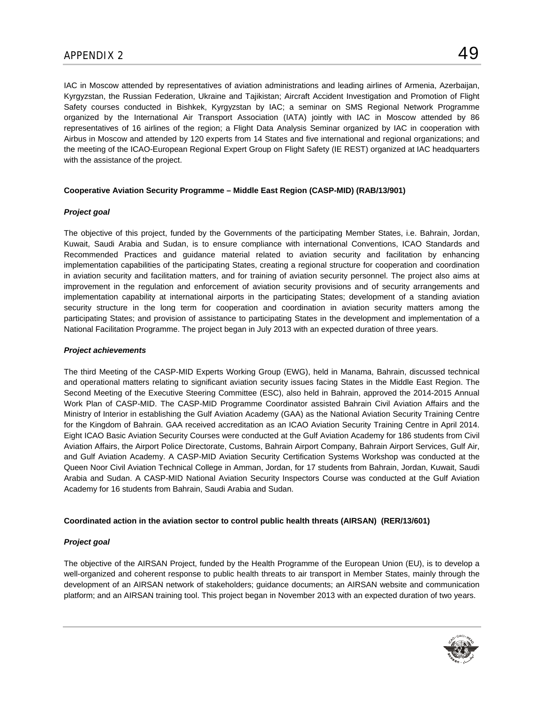IAC in Moscow attended by representatives of aviation administrations and leading airlines of Armenia, Azerbaijan, Kyrgyzstan, the Russian Federation, Ukraine and Tajikistan; Aircraft Accident Investigation and Promotion of Flight Safety courses conducted in Bishkek, Kyrgyzstan by IAC; a seminar on SMS Regional Network Programme organized by the International Air Transport Association (IATA) jointly with IAC in Moscow attended by 86 representatives of 16 airlines of the region; a Flight Data Analysis Seminar organized by IAC in cooperation with Airbus in Moscow and attended by 120 experts from 14 States and five international and regional organizations; and the meeting of the ICAO-European Regional Expert Group on Flight Safety (IE REST) organized at IAC headquarters with the assistance of the project.

# **Cooperative Aviation Security Programme – Middle East Region (CASP-MID) (RAB/13/901)**

# *Project goal*

The objective of this project, funded by the Governments of the participating Member States, i.e. Bahrain, Jordan, Kuwait, Saudi Arabia and Sudan, is to ensure compliance with international Conventions, ICAO Standards and Recommended Practices and guidance material related to aviation security and facilitation by enhancing implementation capabilities of the participating States, creating a regional structure for cooperation and coordination in aviation security and facilitation matters, and for training of aviation security personnel. The project also aims at improvement in the regulation and enforcement of aviation security provisions and of security arrangements and implementation capability at international airports in the participating States; development of a standing aviation security structure in the long term for cooperation and coordination in aviation security matters among the participating States; and provision of assistance to participating States in the development and implementation of a National Facilitation Programme. The project began in July 2013 with an expected duration of three years.

# *Project achievements*

The third Meeting of the CASP-MID Experts Working Group (EWG), held in Manama, Bahrain, discussed technical and operational matters relating to significant aviation security issues facing States in the Middle East Region. The Second Meeting of the Executive Steering Committee (ESC), also held in Bahrain, approved the 2014-2015 Annual Work Plan of CASP-MID. The CASP-MID Programme Coordinator assisted Bahrain Civil Aviation Affairs and the Ministry of Interior in establishing the Gulf Aviation Academy (GAA) as the National Aviation Security Training Centre for the Kingdom of Bahrain. GAA received accreditation as an ICAO Aviation Security Training Centre in April 2014. Eight ICAO Basic Aviation Security Courses were conducted at the Gulf Aviation Academy for 186 students from Civil Aviation Affairs, the Airport Police Directorate, Customs, Bahrain Airport Company, Bahrain Airport Services, Gulf Air, and Gulf Aviation Academy. A CASP-MID Aviation Security Certification Systems Workshop was conducted at the Queen Noor Civil Aviation Technical College in Amman, Jordan, for 17 students from Bahrain, Jordan, Kuwait, Saudi Arabia and Sudan. A CASP-MID National Aviation Security Inspectors Course was conducted at the Gulf Aviation Academy for 16 students from Bahrain, Saudi Arabia and Sudan.

#### **Coordinated action in the aviation sector to control public health threats (AIRSAN) (RER/13/601)**

# *Project goal*

The objective of the AIRSAN Project, funded by the Health Programme of the European Union (EU), is to develop a well-organized and coherent response to public health threats to air transport in Member States, mainly through the development of an AIRSAN network of stakeholders; guidance documents; an AIRSAN website and communication platform; and an AIRSAN training tool. This project began in November 2013 with an expected duration of two years.